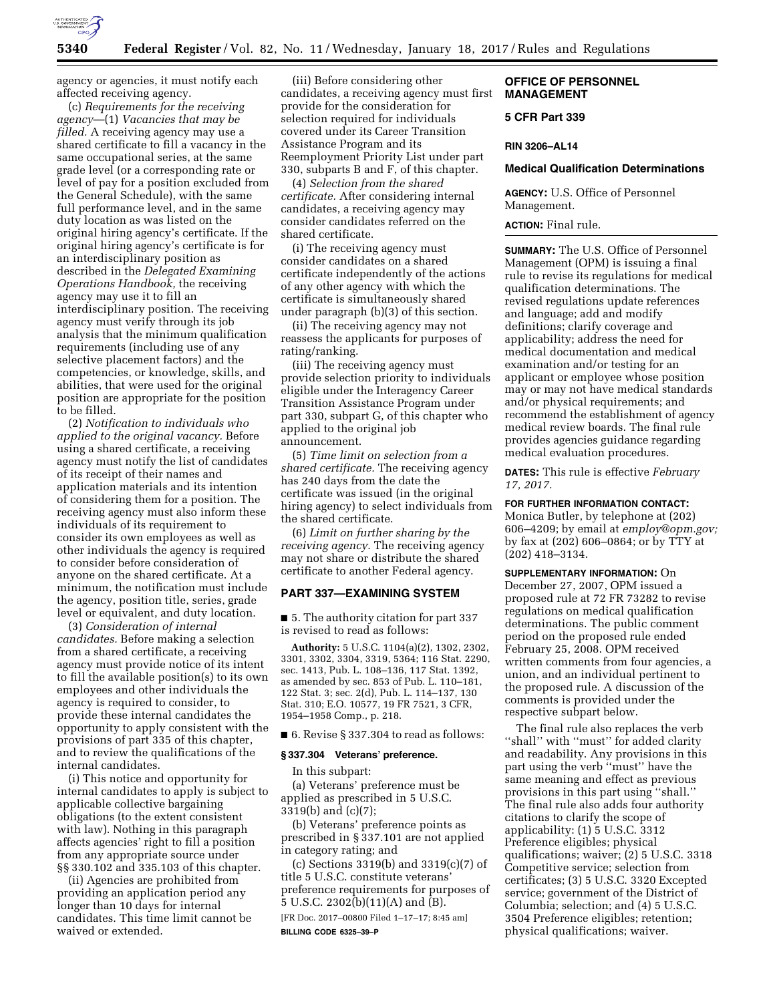

agency or agencies, it must notify each affected receiving agency.

(c) *Requirements for the receiving agency*—(1) *Vacancies that may be filled.* A receiving agency may use a shared certificate to fill a vacancy in the same occupational series, at the same grade level (or a corresponding rate or level of pay for a position excluded from the General Schedule), with the same full performance level, and in the same duty location as was listed on the original hiring agency's certificate. If the original hiring agency's certificate is for an interdisciplinary position as described in the *Delegated Examining Operations Handbook,* the receiving agency may use it to fill an interdisciplinary position. The receiving agency must verify through its job analysis that the minimum qualification requirements (including use of any selective placement factors) and the competencies, or knowledge, skills, and abilities, that were used for the original position are appropriate for the position to be filled.

(2) *Notification to individuals who applied to the original vacancy.* Before using a shared certificate, a receiving agency must notify the list of candidates of its receipt of their names and application materials and its intention of considering them for a position. The receiving agency must also inform these individuals of its requirement to consider its own employees as well as other individuals the agency is required to consider before consideration of anyone on the shared certificate. At a minimum, the notification must include the agency, position title, series, grade level or equivalent, and duty location.

(3) *Consideration of internal candidates.* Before making a selection from a shared certificate, a receiving agency must provide notice of its intent to fill the available position(s) to its own employees and other individuals the agency is required to consider, to provide these internal candidates the opportunity to apply consistent with the provisions of part 335 of this chapter, and to review the qualifications of the internal candidates.

(i) This notice and opportunity for internal candidates to apply is subject to applicable collective bargaining obligations (to the extent consistent with law). Nothing in this paragraph affects agencies' right to fill a position from any appropriate source under §§ 330.102 and 335.103 of this chapter.

(ii) Agencies are prohibited from providing an application period any longer than 10 days for internal candidates. This time limit cannot be waived or extended.

(iii) Before considering other candidates, a receiving agency must first provide for the consideration for selection required for individuals covered under its Career Transition Assistance Program and its Reemployment Priority List under part 330, subparts B and F, of this chapter.

(4) *Selection from the shared certificate.* After considering internal candidates, a receiving agency may consider candidates referred on the shared certificate.

(i) The receiving agency must consider candidates on a shared certificate independently of the actions of any other agency with which the certificate is simultaneously shared under paragraph (b)(3) of this section.

(ii) The receiving agency may not reassess the applicants for purposes of rating/ranking.

(iii) The receiving agency must provide selection priority to individuals eligible under the Interagency Career Transition Assistance Program under part 330, subpart G, of this chapter who applied to the original job announcement.

(5) *Time limit on selection from a shared certificate.* The receiving agency has 240 days from the date the certificate was issued (in the original hiring agency) to select individuals from the shared certificate.

(6) *Limit on further sharing by the receiving agency.* The receiving agency may not share or distribute the shared certificate to another Federal agency.

# **PART 337—EXAMINING SYSTEM**

■ 5. The authority citation for part 337 is revised to read as follows:

**Authority:** 5 U.S.C. 1104(a)(2), 1302, 2302, 3301, 3302, 3304, 3319, 5364; 116 Stat. 2290, sec. 1413, Pub. L. 108–136, 117 Stat. 1392, as amended by sec. 853 of Pub. L. 110–181, 122 Stat. 3; sec. 2(d), Pub. L. 114–137, 130 Stat. 310; E.O. 10577, 19 FR 7521, 3 CFR, 1954–1958 Comp., p. 218.

■ 6. Revise § 337.304 to read as follows:

#### **§ 337.304 Veterans' preference.**

In this subpart:

(a) Veterans' preference must be applied as prescribed in 5 U.S.C. 3319(b) and (c)(7);

(b) Veterans' preference points as prescribed in § 337.101 are not applied in category rating; and

(c) Sections 3319(b) and 3319(c)(7) of title 5 U.S.C. constitute veterans' preference requirements for purposes of  $\bar{5}$  U.S.C. 2302 $\bar{b}$ (11)(A) and  $\bar{B}$ ).

[FR Doc. 2017–00800 Filed 1–17–17; 8:45 am] **BILLING CODE 6325–39–P** 

# **OFFICE OF PERSONNEL MANAGEMENT**

# **5 CFR Part 339**

## **RIN 3206–AL14**

# **Medical Qualification Determinations**

**AGENCY:** U.S. Office of Personnel Management.

# **ACTION:** Final rule.

**SUMMARY:** The U.S. Office of Personnel Management (OPM) is issuing a final rule to revise its regulations for medical qualification determinations. The revised regulations update references and language; add and modify definitions; clarify coverage and applicability; address the need for medical documentation and medical examination and/or testing for an applicant or employee whose position may or may not have medical standards and/or physical requirements; and recommend the establishment of agency medical review boards. The final rule provides agencies guidance regarding medical evaluation procedures.

**DATES:** This rule is effective *February 17, 2017.* 

# **FOR FURTHER INFORMATION CONTACT:**

Monica Butler, by telephone at (202) 606–4209; by email at *[employ@opm.gov;](mailto:employ@opm.gov)*  by fax at (202) 606–0864; or by TTY at (202) 418–3134.

# **SUPPLEMENTARY INFORMATION:** On

December 27, 2007, OPM issued a proposed rule at 72 FR 73282 to revise regulations on medical qualification determinations. The public comment period on the proposed rule ended February 25, 2008. OPM received written comments from four agencies, a union, and an individual pertinent to the proposed rule. A discussion of the comments is provided under the respective subpart below.

The final rule also replaces the verb "shall" with "must" for added clarity and readability. Any provisions in this part using the verb "must" have the same meaning and effect as previous provisions in this part using ''shall.'' The final rule also adds four authority citations to clarify the scope of applicability: (1) 5 U.S.C. 3312 Preference eligibles; physical qualifications; waiver; (2) 5 U.S.C. 3318 Competitive service; selection from certificates; (3) 5 U.S.C. 3320 Excepted service; government of the District of Columbia; selection; and (4) 5 U.S.C. 3504 Preference eligibles; retention; physical qualifications; waiver.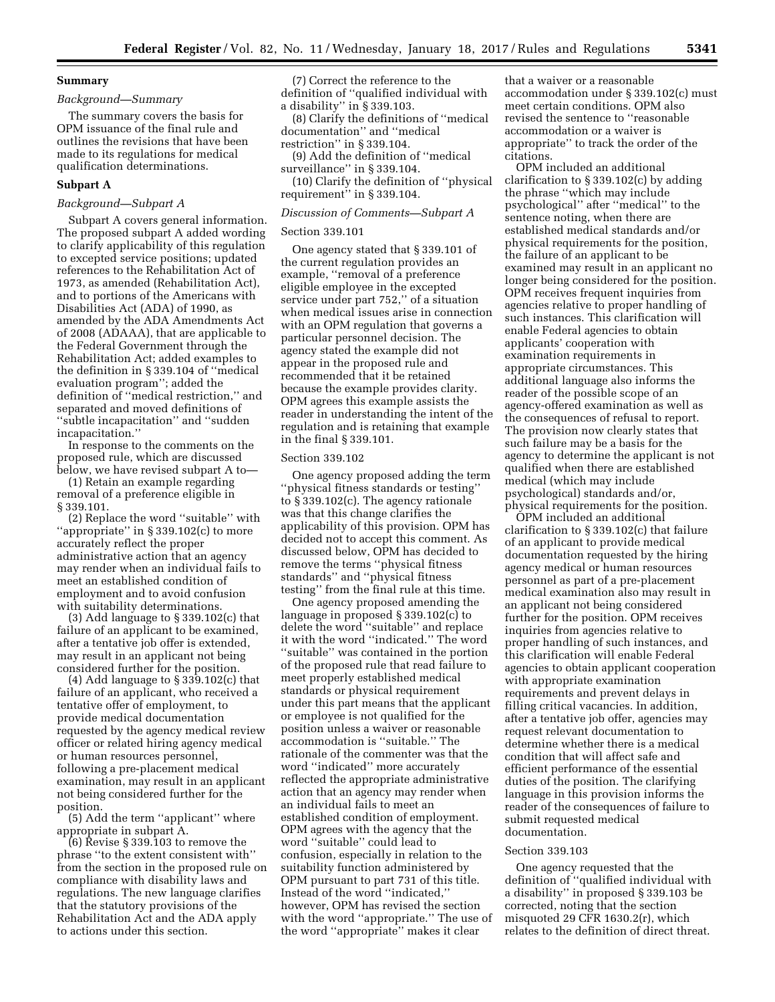# **Summary**

# *Background—Summary*

The summary covers the basis for OPM issuance of the final rule and outlines the revisions that have been made to its regulations for medical qualification determinations.

## **Subpart A**

# *Background—Subpart A*

Subpart A covers general information. The proposed subpart A added wording to clarify applicability of this regulation to excepted service positions; updated references to the Rehabilitation Act of 1973, as amended (Rehabilitation Act), and to portions of the Americans with Disabilities Act (ADA) of 1990, as amended by the ADA Amendments Act of 2008 (ADAAA), that are applicable to the Federal Government through the Rehabilitation Act; added examples to the definition in § 339.104 of ''medical evaluation program''; added the definition of ''medical restriction,'' and separated and moved definitions of ''subtle incapacitation'' and ''sudden incapacitation.''

In response to the comments on the proposed rule, which are discussed below, we have revised subpart A to—

(1) Retain an example regarding removal of a preference eligible in § 339.101.

(2) Replace the word ''suitable'' with ''appropriate'' in § 339.102(c) to more accurately reflect the proper administrative action that an agency may render when an individual fails to meet an established condition of employment and to avoid confusion with suitability determinations.

(3) Add language to § 339.102(c) that failure of an applicant to be examined, after a tentative job offer is extended, may result in an applicant not being considered further for the position.

(4) Add language to  $\S 339.102(c)$  that failure of an applicant, who received a tentative offer of employment, to provide medical documentation requested by the agency medical review officer or related hiring agency medical or human resources personnel, following a pre-placement medical examination, may result in an applicant not being considered further for the position.

(5) Add the term ''applicant'' where appropriate in subpart A.

(6) Revise § 339.103 to remove the phrase ''to the extent consistent with'' from the section in the proposed rule on compliance with disability laws and regulations. The new language clarifies that the statutory provisions of the Rehabilitation Act and the ADA apply to actions under this section.

(7) Correct the reference to the definition of ''qualified individual with a disability'' in § 339.103.

(8) Clarify the definitions of ''medical documentation'' and ''medical restriction'' in § 339.104.

(9) Add the definition of ''medical surveillance'' in § 339.104. (10) Clarify the definition of ''physical

requirement'' in § 339.104.

# *Discussion of Comments—Subpart A*

#### Section 339.101

One agency stated that § 339.101 of the current regulation provides an example, ''removal of a preference eligible employee in the excepted service under part 752,'' of a situation when medical issues arise in connection with an OPM regulation that governs a particular personnel decision. The agency stated the example did not appear in the proposed rule and recommended that it be retained because the example provides clarity. OPM agrees this example assists the reader in understanding the intent of the regulation and is retaining that example in the final § 339.101.

#### Section 339.102

One agency proposed adding the term ''physical fitness standards or testing'' to § 339.102(c). The agency rationale was that this change clarifies the applicability of this provision. OPM has decided not to accept this comment. As discussed below, OPM has decided to remove the terms ''physical fitness standards'' and ''physical fitness testing'' from the final rule at this time.

One agency proposed amending the language in proposed § 339.102(c) to delete the word ''suitable'' and replace it with the word ''indicated.'' The word ''suitable'' was contained in the portion of the proposed rule that read failure to meet properly established medical standards or physical requirement under this part means that the applicant or employee is not qualified for the position unless a waiver or reasonable accommodation is ''suitable.'' The rationale of the commenter was that the word ''indicated'' more accurately reflected the appropriate administrative action that an agency may render when an individual fails to meet an established condition of employment. OPM agrees with the agency that the word ''suitable'' could lead to confusion, especially in relation to the suitability function administered by OPM pursuant to part 731 of this title. Instead of the word ''indicated,'' however, OPM has revised the section with the word ''appropriate.'' The use of the word ''appropriate'' makes it clear

that a waiver or a reasonable accommodation under § 339.102(c) must meet certain conditions. OPM also revised the sentence to ''reasonable accommodation or a waiver is appropriate'' to track the order of the citations.

OPM included an additional clarification to § 339.102(c) by adding the phrase ''which may include psychological'' after ''medical'' to the sentence noting, when there are established medical standards and/or physical requirements for the position, the failure of an applicant to be examined may result in an applicant no longer being considered for the position. OPM receives frequent inquiries from agencies relative to proper handling of such instances. This clarification will enable Federal agencies to obtain applicants' cooperation with examination requirements in appropriate circumstances. This additional language also informs the reader of the possible scope of an agency-offered examination as well as the consequences of refusal to report. The provision now clearly states that such failure may be a basis for the agency to determine the applicant is not qualified when there are established medical (which may include psychological) standards and/or, physical requirements for the position.

OPM included an additional clarification to § 339.102(c) that failure of an applicant to provide medical documentation requested by the hiring agency medical or human resources personnel as part of a pre-placement medical examination also may result in an applicant not being considered further for the position. OPM receives inquiries from agencies relative to proper handling of such instances, and this clarification will enable Federal agencies to obtain applicant cooperation with appropriate examination requirements and prevent delays in filling critical vacancies. In addition, after a tentative job offer, agencies may request relevant documentation to determine whether there is a medical condition that will affect safe and efficient performance of the essential duties of the position. The clarifying language in this provision informs the reader of the consequences of failure to submit requested medical documentation.

#### Section 339.103

One agency requested that the definition of ''qualified individual with a disability'' in proposed § 339.103 be corrected, noting that the section misquoted 29 CFR 1630.2(r), which relates to the definition of direct threat.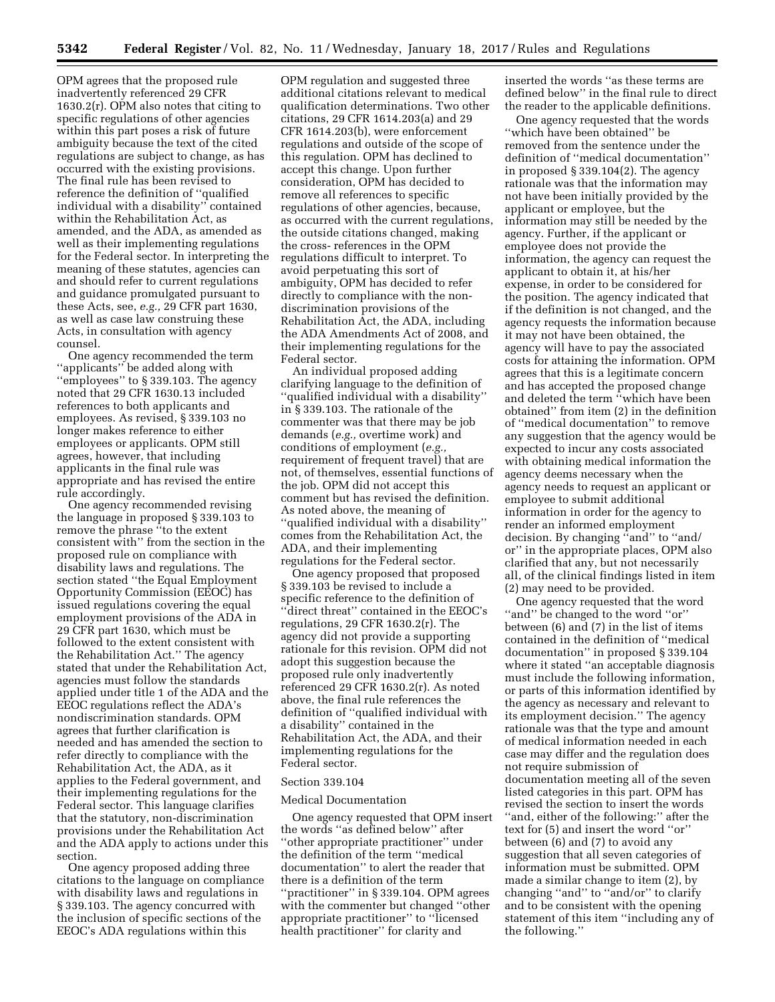OPM agrees that the proposed rule inadvertently referenced 29 CFR 1630.2(r). OPM also notes that citing to specific regulations of other agencies within this part poses a risk of future ambiguity because the text of the cited regulations are subject to change, as has occurred with the existing provisions. The final rule has been revised to reference the definition of ''qualified individual with a disability'' contained within the Rehabilitation Act, as amended, and the ADA, as amended as well as their implementing regulations for the Federal sector. In interpreting the meaning of these statutes, agencies can and should refer to current regulations and guidance promulgated pursuant to these Acts, see, *e.g.,* 29 CFR part 1630, as well as case law construing these Acts, in consultation with agency counsel.

One agency recommended the term ''applicants'' be added along with ''employees'' to § 339.103. The agency noted that 29 CFR 1630.13 included references to both applicants and employees. As revised, § 339.103 no longer makes reference to either employees or applicants. OPM still agrees, however, that including applicants in the final rule was appropriate and has revised the entire rule accordingly.

One agency recommended revising the language in proposed § 339.103 to remove the phrase ''to the extent consistent with'' from the section in the proposed rule on compliance with disability laws and regulations. The section stated ''the Equal Employment Opportunity Commission (EEOC) has issued regulations covering the equal employment provisions of the ADA in 29 CFR part 1630, which must be followed to the extent consistent with the Rehabilitation Act.'' The agency stated that under the Rehabilitation Act, agencies must follow the standards applied under title 1 of the ADA and the EEOC regulations reflect the ADA's nondiscrimination standards. OPM agrees that further clarification is needed and has amended the section to refer directly to compliance with the Rehabilitation Act, the ADA, as it applies to the Federal government, and their implementing regulations for the Federal sector. This language clarifies that the statutory, non-discrimination provisions under the Rehabilitation Act and the ADA apply to actions under this section.

One agency proposed adding three citations to the language on compliance with disability laws and regulations in § 339.103. The agency concurred with the inclusion of specific sections of the EEOC's ADA regulations within this

OPM regulation and suggested three additional citations relevant to medical qualification determinations. Two other citations, 29 CFR 1614.203(a) and 29 CFR 1614.203(b), were enforcement regulations and outside of the scope of this regulation. OPM has declined to accept this change. Upon further consideration, OPM has decided to remove all references to specific regulations of other agencies, because, as occurred with the current regulations, the outside citations changed, making the cross- references in the OPM regulations difficult to interpret. To avoid perpetuating this sort of ambiguity, OPM has decided to refer directly to compliance with the nondiscrimination provisions of the Rehabilitation Act, the ADA, including the ADA Amendments Act of 2008, and their implementing regulations for the Federal sector.

An individual proposed adding clarifying language to the definition of ''qualified individual with a disability'' in § 339.103. The rationale of the commenter was that there may be job demands (*e.g.,* overtime work) and conditions of employment (*e.g.,*  requirement of frequent travel) that are not, of themselves, essential functions of the job. OPM did not accept this comment but has revised the definition. As noted above, the meaning of ''qualified individual with a disability'' comes from the Rehabilitation Act, the ADA, and their implementing regulations for the Federal sector.

One agency proposed that proposed § 339.103 be revised to include a specific reference to the definition of ''direct threat'' contained in the EEOC's regulations, 29 CFR 1630.2(r). The agency did not provide a supporting rationale for this revision. OPM did not adopt this suggestion because the proposed rule only inadvertently referenced 29 CFR 1630.2(r). As noted above, the final rule references the definition of ''qualified individual with a disability'' contained in the Rehabilitation Act, the ADA, and their implementing regulations for the Federal sector.

#### Section 339.104

# Medical Documentation

One agency requested that OPM insert the words ''as defined below'' after ''other appropriate practitioner'' under the definition of the term ''medical documentation'' to alert the reader that there is a definition of the term ''practitioner'' in § 339.104. OPM agrees with the commenter but changed ''other appropriate practitioner'' to ''licensed health practitioner'' for clarity and

inserted the words ''as these terms are defined below'' in the final rule to direct the reader to the applicable definitions.

One agency requested that the words ''which have been obtained'' be removed from the sentence under the definition of ''medical documentation'' in proposed § 339.104(2). The agency rationale was that the information may not have been initially provided by the applicant or employee, but the information may still be needed by the agency. Further, if the applicant or employee does not provide the information, the agency can request the applicant to obtain it, at his/her expense, in order to be considered for the position. The agency indicated that if the definition is not changed, and the agency requests the information because it may not have been obtained, the agency will have to pay the associated costs for attaining the information. OPM agrees that this is a legitimate concern and has accepted the proposed change and deleted the term ''which have been obtained'' from item (2) in the definition of ''medical documentation'' to remove any suggestion that the agency would be expected to incur any costs associated with obtaining medical information the agency deems necessary when the agency needs to request an applicant or employee to submit additional information in order for the agency to render an informed employment decision. By changing ''and'' to ''and/ or'' in the appropriate places, OPM also clarified that any, but not necessarily all, of the clinical findings listed in item (2) may need to be provided.

One agency requested that the word ''and'' be changed to the word ''or'' between (6) and (7) in the list of items contained in the definition of ''medical documentation'' in proposed § 339.104 where it stated ''an acceptable diagnosis must include the following information, or parts of this information identified by the agency as necessary and relevant to its employment decision.'' The agency rationale was that the type and amount of medical information needed in each case may differ and the regulation does not require submission of documentation meeting all of the seven listed categories in this part. OPM has revised the section to insert the words ''and, either of the following:'' after the text for (5) and insert the word ''or'' between (6) and (7) to avoid any suggestion that all seven categories of information must be submitted. OPM made a similar change to item (2), by changing ''and'' to ''and/or'' to clarify and to be consistent with the opening statement of this item ''including any of the following.''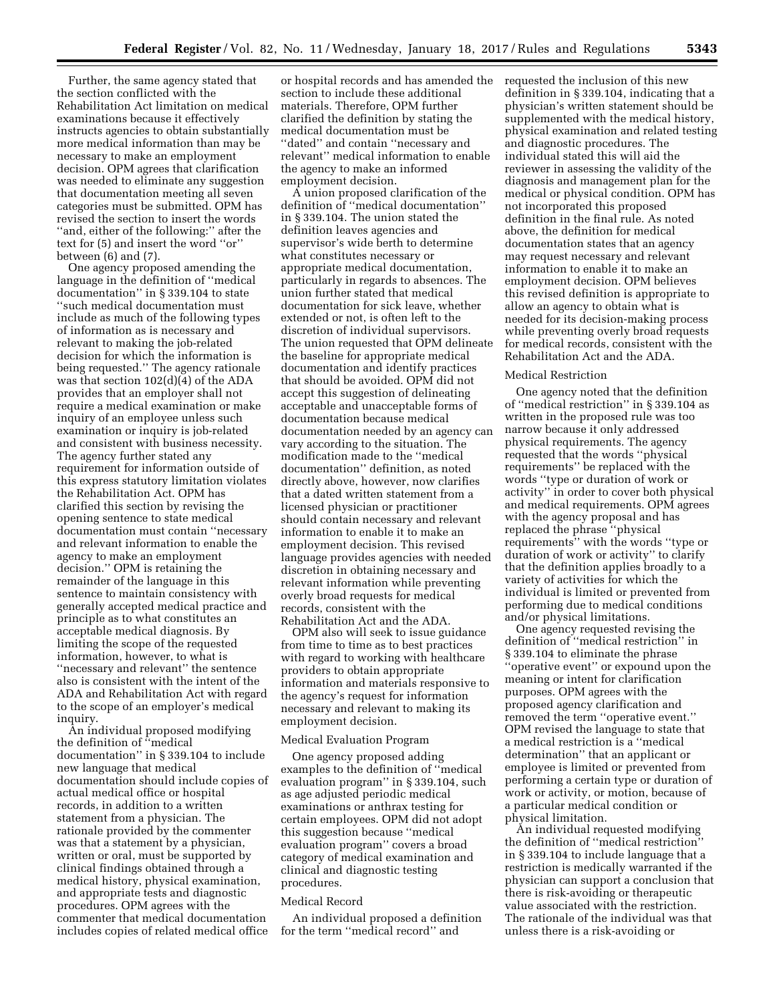Further, the same agency stated that the section conflicted with the Rehabilitation Act limitation on medical examinations because it effectively instructs agencies to obtain substantially more medical information than may be necessary to make an employment decision. OPM agrees that clarification was needed to eliminate any suggestion that documentation meeting all seven categories must be submitted. OPM has revised the section to insert the words ''and, either of the following:'' after the text for (5) and insert the word ''or'' between (6) and (7).

One agency proposed amending the language in the definition of ''medical documentation'' in § 339.104 to state ''such medical documentation must include as much of the following types of information as is necessary and relevant to making the job-related decision for which the information is being requested.'' The agency rationale was that section 102(d)(4) of the ADA provides that an employer shall not require a medical examination or make inquiry of an employee unless such examination or inquiry is job-related and consistent with business necessity. The agency further stated any requirement for information outside of this express statutory limitation violates the Rehabilitation Act. OPM has clarified this section by revising the opening sentence to state medical documentation must contain ''necessary and relevant information to enable the agency to make an employment decision.'' OPM is retaining the remainder of the language in this sentence to maintain consistency with generally accepted medical practice and principle as to what constitutes an acceptable medical diagnosis. By limiting the scope of the requested information, however, to what is ''necessary and relevant'' the sentence also is consistent with the intent of the ADA and Rehabilitation Act with regard to the scope of an employer's medical inquiry.

An individual proposed modifying the definition of ''medical documentation'' in § 339.104 to include new language that medical documentation should include copies of actual medical office or hospital records, in addition to a written statement from a physician. The rationale provided by the commenter was that a statement by a physician, written or oral, must be supported by clinical findings obtained through a medical history, physical examination, and appropriate tests and diagnostic procedures. OPM agrees with the commenter that medical documentation includes copies of related medical office

or hospital records and has amended the section to include these additional materials. Therefore, OPM further clarified the definition by stating the medical documentation must be ''dated'' and contain ''necessary and relevant'' medical information to enable the agency to make an informed employment decision.

A union proposed clarification of the definition of ''medical documentation'' in § 339.104. The union stated the definition leaves agencies and supervisor's wide berth to determine what constitutes necessary or appropriate medical documentation, particularly in regards to absences. The union further stated that medical documentation for sick leave, whether extended or not, is often left to the discretion of individual supervisors. The union requested that OPM delineate the baseline for appropriate medical documentation and identify practices that should be avoided. OPM did not accept this suggestion of delineating acceptable and unacceptable forms of documentation because medical documentation needed by an agency can vary according to the situation. The modification made to the ''medical documentation'' definition, as noted directly above, however, now clarifies that a dated written statement from a licensed physician or practitioner should contain necessary and relevant information to enable it to make an employment decision. This revised language provides agencies with needed discretion in obtaining necessary and relevant information while preventing overly broad requests for medical records, consistent with the Rehabilitation Act and the ADA.

OPM also will seek to issue guidance from time to time as to best practices with regard to working with healthcare providers to obtain appropriate information and materials responsive to the agency's request for information necessary and relevant to making its employment decision.

#### Medical Evaluation Program

One agency proposed adding examples to the definition of ''medical evaluation program'' in § 339.104, such as age adjusted periodic medical examinations or anthrax testing for certain employees. OPM did not adopt this suggestion because ''medical evaluation program'' covers a broad category of medical examination and clinical and diagnostic testing procedures.

#### Medical Record

An individual proposed a definition for the term ''medical record'' and

requested the inclusion of this new definition in § 339.104, indicating that a physician's written statement should be supplemented with the medical history, physical examination and related testing and diagnostic procedures. The individual stated this will aid the reviewer in assessing the validity of the diagnosis and management plan for the medical or physical condition. OPM has not incorporated this proposed definition in the final rule. As noted above, the definition for medical documentation states that an agency may request necessary and relevant information to enable it to make an employment decision. OPM believes this revised definition is appropriate to allow an agency to obtain what is needed for its decision-making process while preventing overly broad requests for medical records, consistent with the Rehabilitation Act and the ADA.

## Medical Restriction

One agency noted that the definition of ''medical restriction'' in § 339.104 as written in the proposed rule was too narrow because it only addressed physical requirements. The agency requested that the words ''physical requirements'' be replaced with the words ''type or duration of work or activity'' in order to cover both physical and medical requirements. OPM agrees with the agency proposal and has replaced the phrase ''physical requirements'' with the words ''type or duration of work or activity'' to clarify that the definition applies broadly to a variety of activities for which the individual is limited or prevented from performing due to medical conditions and/or physical limitations.

One agency requested revising the definition of ''medical restriction'' in § 339.104 to eliminate the phrase ''operative event'' or expound upon the meaning or intent for clarification purposes. OPM agrees with the proposed agency clarification and removed the term ''operative event.'' OPM revised the language to state that a medical restriction is a ''medical determination'' that an applicant or employee is limited or prevented from performing a certain type or duration of work or activity, or motion, because of a particular medical condition or physical limitation.

An individual requested modifying the definition of ''medical restriction'' in § 339.104 to include language that a restriction is medically warranted if the physician can support a conclusion that there is risk-avoiding or therapeutic value associated with the restriction. The rationale of the individual was that unless there is a risk-avoiding or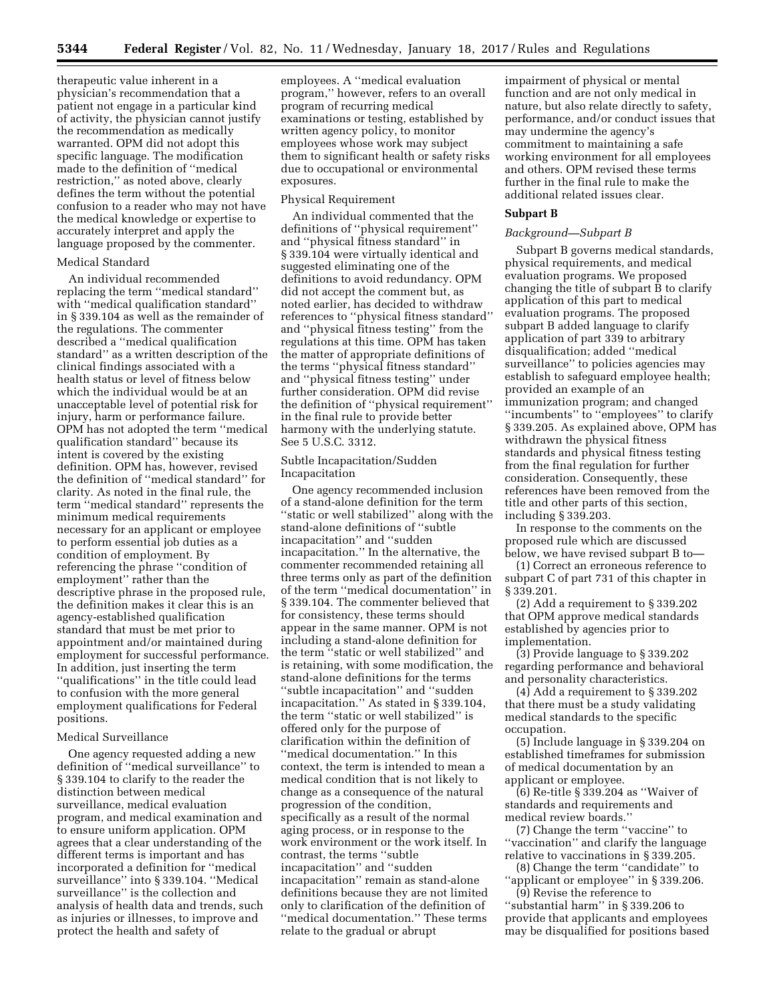therapeutic value inherent in a physician's recommendation that a patient not engage in a particular kind of activity, the physician cannot justify the recommendation as medically warranted. OPM did not adopt this specific language. The modification made to the definition of ''medical restriction,'' as noted above, clearly defines the term without the potential confusion to a reader who may not have the medical knowledge or expertise to accurately interpret and apply the language proposed by the commenter.

# Medical Standard

An individual recommended replacing the term ''medical standard'' with ''medical qualification standard'' in § 339.104 as well as the remainder of the regulations. The commenter described a ''medical qualification standard'' as a written description of the clinical findings associated with a health status or level of fitness below which the individual would be at an unacceptable level of potential risk for injury, harm or performance failure. OPM has not adopted the term ''medical qualification standard'' because its intent is covered by the existing definition. OPM has, however, revised the definition of ''medical standard'' for clarity. As noted in the final rule, the term ''medical standard'' represents the minimum medical requirements necessary for an applicant or employee to perform essential job duties as a condition of employment. By referencing the phrase ''condition of employment'' rather than the descriptive phrase in the proposed rule, the definition makes it clear this is an agency-established qualification standard that must be met prior to appointment and/or maintained during employment for successful performance. In addition, just inserting the term ''qualifications'' in the title could lead to confusion with the more general employment qualifications for Federal positions.

# Medical Surveillance

One agency requested adding a new definition of ''medical surveillance'' to § 339.104 to clarify to the reader the distinction between medical surveillance, medical evaluation program, and medical examination and to ensure uniform application. OPM agrees that a clear understanding of the different terms is important and has incorporated a definition for ''medical surveillance'' into § 339.104. ''Medical surveillance'' is the collection and analysis of health data and trends, such as injuries or illnesses, to improve and protect the health and safety of

employees. A ''medical evaluation program,'' however, refers to an overall program of recurring medical examinations or testing, established by written agency policy, to monitor employees whose work may subject them to significant health or safety risks due to occupational or environmental exposures.

# Physical Requirement

An individual commented that the definitions of ''physical requirement'' and ''physical fitness standard'' in § 339.104 were virtually identical and suggested eliminating one of the definitions to avoid redundancy. OPM did not accept the comment but, as noted earlier, has decided to withdraw references to ''physical fitness standard'' and ''physical fitness testing'' from the regulations at this time. OPM has taken the matter of appropriate definitions of the terms ''physical fitness standard'' and ''physical fitness testing'' under further consideration. OPM did revise the definition of ''physical requirement'' in the final rule to provide better harmony with the underlying statute. See 5 U.S.C. 3312.

# Subtle Incapacitation/Sudden Incapacitation

One agency recommended inclusion of a stand-alone definition for the term ''static or well stabilized'' along with the stand-alone definitions of ''subtle incapacitation'' and ''sudden incapacitation.'' In the alternative, the commenter recommended retaining all three terms only as part of the definition of the term ''medical documentation'' in § 339.104. The commenter believed that for consistency, these terms should appear in the same manner. OPM is not including a stand-alone definition for the term ''static or well stabilized'' and is retaining, with some modification, the stand-alone definitions for the terms ''subtle incapacitation'' and ''sudden incapacitation.'' As stated in § 339.104, the term ''static or well stabilized'' is offered only for the purpose of clarification within the definition of ''medical documentation.'' In this context, the term is intended to mean a medical condition that is not likely to change as a consequence of the natural progression of the condition, specifically as a result of the normal aging process, or in response to the work environment or the work itself. In contrast, the terms ''subtle incapacitation'' and ''sudden incapacitation'' remain as stand-alone definitions because they are not limited only to clarification of the definition of ''medical documentation.'' These terms relate to the gradual or abrupt

impairment of physical or mental function and are not only medical in nature, but also relate directly to safety, performance, and/or conduct issues that may undermine the agency's commitment to maintaining a safe working environment for all employees and others. OPM revised these terms further in the final rule to make the additional related issues clear.

# **Subpart B**

## *Background—Subpart B*

Subpart B governs medical standards, physical requirements, and medical evaluation programs. We proposed changing the title of subpart B to clarify application of this part to medical evaluation programs. The proposed subpart B added language to clarify application of part 339 to arbitrary disqualification; added ''medical surveillance'' to policies agencies may establish to safeguard employee health; provided an example of an immunization program; and changed ''incumbents'' to ''employees'' to clarify § 339.205. As explained above, OPM has withdrawn the physical fitness standards and physical fitness testing from the final regulation for further consideration. Consequently, these references have been removed from the title and other parts of this section, including § 339.203.

In response to the comments on the proposed rule which are discussed below, we have revised subpart B to—

(1) Correct an erroneous reference to subpart C of part 731 of this chapter in § 339.201.

(2) Add a requirement to § 339.202 that OPM approve medical standards established by agencies prior to implementation.

(3) Provide language to § 339.202 regarding performance and behavioral and personality characteristics.

(4) Add a requirement to § 339.202 that there must be a study validating medical standards to the specific occupation.

(5) Include language in § 339.204 on established timeframes for submission of medical documentation by an applicant or employee.

(6) Re-title § 339.204 as ''Waiver of standards and requirements and medical review boards.''

(7) Change the term ''vaccine'' to ''vaccination'' and clarify the language relative to vaccinations in § 339.205.

(8) Change the term ''candidate'' to "applicant or employee" in § 339.206. (9) Revise the reference to

''substantial harm'' in § 339.206 to provide that applicants and employees may be disqualified for positions based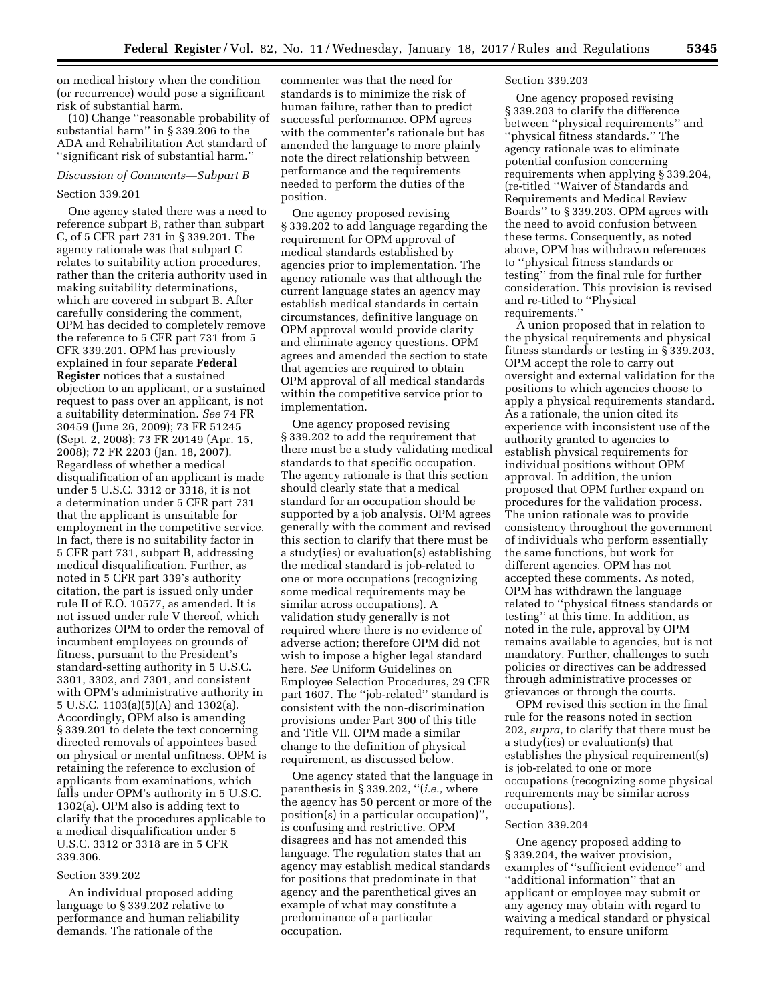on medical history when the condition (or recurrence) would pose a significant risk of substantial harm.

(10) Change ''reasonable probability of substantial harm'' in § 339.206 to the ADA and Rehabilitation Act standard of ''significant risk of substantial harm.''

#### *Discussion of Comments—Subpart B*

#### Section 339.201

One agency stated there was a need to reference subpart B, rather than subpart C, of 5 CFR part 731 in § 339.201. The agency rationale was that subpart C relates to suitability action procedures, rather than the criteria authority used in making suitability determinations, which are covered in subpart B. After carefully considering the comment, OPM has decided to completely remove the reference to 5 CFR part 731 from 5 CFR 339.201. OPM has previously explained in four separate **Federal Register** notices that a sustained objection to an applicant, or a sustained request to pass over an applicant, is not a suitability determination. *See* 74 FR 30459 (June 26, 2009); 73 FR 51245 (Sept. 2, 2008); 73 FR 20149 (Apr. 15, 2008); 72 FR 2203 (Jan. 18, 2007). Regardless of whether a medical disqualification of an applicant is made under 5 U.S.C. 3312 or 3318, it is not a determination under 5 CFR part 731 that the applicant is unsuitable for employment in the competitive service. In fact, there is no suitability factor in 5 CFR part 731, subpart B, addressing medical disqualification. Further, as noted in 5 CFR part 339's authority citation, the part is issued only under rule II of E.O. 10577, as amended. It is not issued under rule V thereof, which authorizes OPM to order the removal of incumbent employees on grounds of fitness, pursuant to the President's standard-setting authority in 5 U.S.C. 3301, 3302, and 7301, and consistent with OPM's administrative authority in 5 U.S.C. 1103(a)(5)(A) and 1302(a). Accordingly, OPM also is amending § 339.201 to delete the text concerning directed removals of appointees based on physical or mental unfitness. OPM is retaining the reference to exclusion of applicants from examinations, which falls under OPM's authority in 5 U.S.C. 1302(a). OPM also is adding text to clarify that the procedures applicable to a medical disqualification under 5 U.S.C. 3312 or 3318 are in 5 CFR 339.306.

# Section 339.202

An individual proposed adding language to § 339.202 relative to performance and human reliability demands. The rationale of the

commenter was that the need for standards is to minimize the risk of human failure, rather than to predict successful performance. OPM agrees with the commenter's rationale but has amended the language to more plainly note the direct relationship between performance and the requirements needed to perform the duties of the position.

One agency proposed revising § 339.202 to add language regarding the requirement for OPM approval of medical standards established by agencies prior to implementation. The agency rationale was that although the current language states an agency may establish medical standards in certain circumstances, definitive language on OPM approval would provide clarity and eliminate agency questions. OPM agrees and amended the section to state that agencies are required to obtain OPM approval of all medical standards within the competitive service prior to implementation.

One agency proposed revising § 339.202 to add the requirement that there must be a study validating medical standards to that specific occupation. The agency rationale is that this section should clearly state that a medical standard for an occupation should be supported by a job analysis. OPM agrees generally with the comment and revised this section to clarify that there must be a study(ies) or evaluation(s) establishing the medical standard is job-related to one or more occupations (recognizing some medical requirements may be similar across occupations). A validation study generally is not required where there is no evidence of adverse action; therefore OPM did not wish to impose a higher legal standard here. *See* Uniform Guidelines on Employee Selection Procedures, 29 CFR part 1607. The ''job-related'' standard is consistent with the non-discrimination provisions under Part 300 of this title and Title VII. OPM made a similar change to the definition of physical requirement, as discussed below.

One agency stated that the language in parenthesis in § 339.202, ''(*i.e.,* where the agency has 50 percent or more of the position(s) in a particular occupation)'', is confusing and restrictive. OPM disagrees and has not amended this language. The regulation states that an agency may establish medical standards for positions that predominate in that agency and the parenthetical gives an example of what may constitute a predominance of a particular occupation.

# Section 339.203

One agency proposed revising § 339.203 to clarify the difference between ''physical requirements'' and ''physical fitness standards.'' The agency rationale was to eliminate potential confusion concerning requirements when applying § 339.204, (re-titled ''Waiver of Standards and Requirements and Medical Review Boards'' to § 339.203. OPM agrees with the need to avoid confusion between these terms. Consequently, as noted above, OPM has withdrawn references to ''physical fitness standards or testing'' from the final rule for further consideration. This provision is revised and re-titled to ''Physical requirements.''

A union proposed that in relation to the physical requirements and physical fitness standards or testing in § 339.203, OPM accept the role to carry out oversight and external validation for the positions to which agencies choose to apply a physical requirements standard. As a rationale, the union cited its experience with inconsistent use of the authority granted to agencies to establish physical requirements for individual positions without OPM approval. In addition, the union proposed that OPM further expand on procedures for the validation process. The union rationale was to provide consistency throughout the government of individuals who perform essentially the same functions, but work for different agencies. OPM has not accepted these comments. As noted, OPM has withdrawn the language related to ''physical fitness standards or testing'' at this time. In addition, as noted in the rule, approval by OPM remains available to agencies, but is not mandatory. Further, challenges to such policies or directives can be addressed through administrative processes or grievances or through the courts.

OPM revised this section in the final rule for the reasons noted in section 202, *supra,* to clarify that there must be a study(ies) or evaluation(s) that establishes the physical requirement(s) is job-related to one or more occupations (recognizing some physical requirements may be similar across occupations).

#### Section 339.204

One agency proposed adding to § 339.204, the waiver provision, examples of ''sufficient evidence'' and ''additional information'' that an applicant or employee may submit or any agency may obtain with regard to waiving a medical standard or physical requirement, to ensure uniform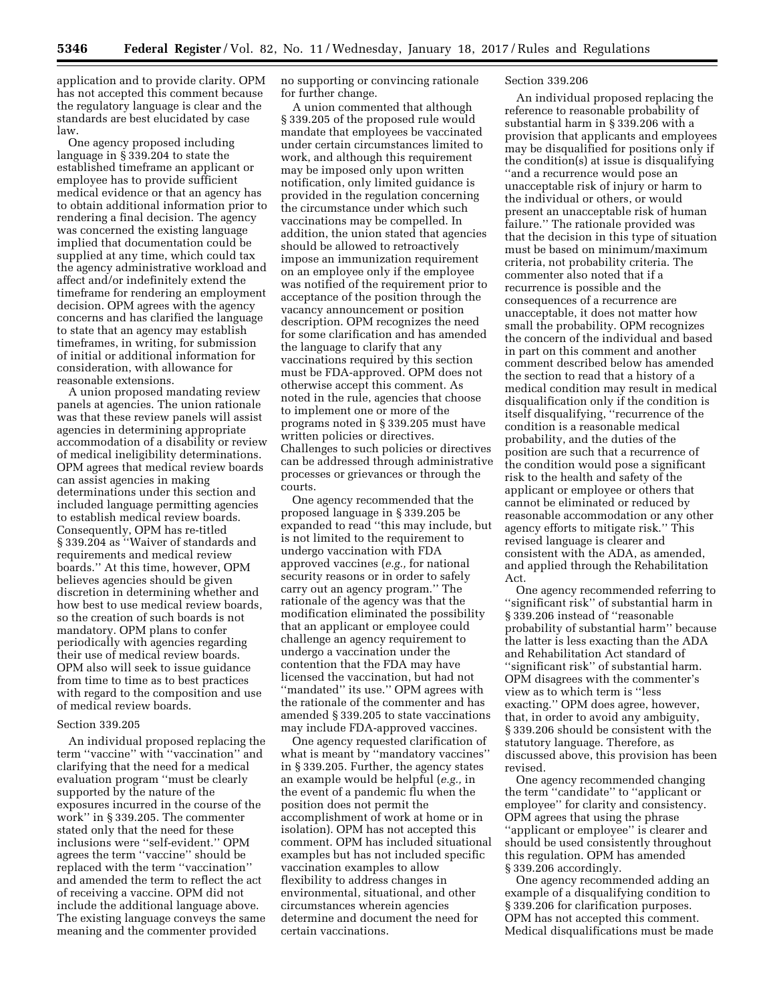application and to provide clarity. OPM has not accepted this comment because the regulatory language is clear and the standards are best elucidated by case law.

One agency proposed including language in § 339.204 to state the established timeframe an applicant or employee has to provide sufficient medical evidence or that an agency has to obtain additional information prior to rendering a final decision. The agency was concerned the existing language implied that documentation could be supplied at any time, which could tax the agency administrative workload and affect and/or indefinitely extend the timeframe for rendering an employment decision. OPM agrees with the agency concerns and has clarified the language to state that an agency may establish timeframes, in writing, for submission of initial or additional information for consideration, with allowance for reasonable extensions.

A union proposed mandating review panels at agencies. The union rationale was that these review panels will assist agencies in determining appropriate accommodation of a disability or review of medical ineligibility determinations. OPM agrees that medical review boards can assist agencies in making determinations under this section and included language permitting agencies to establish medical review boards. Consequently, OPM has re-titled § 339.204 as ''Waiver of standards and requirements and medical review boards.'' At this time, however, OPM believes agencies should be given discretion in determining whether and how best to use medical review boards, so the creation of such boards is not mandatory. OPM plans to confer periodically with agencies regarding their use of medical review boards. OPM also will seek to issue guidance from time to time as to best practices with regard to the composition and use of medical review boards.

# Section 339.205

An individual proposed replacing the term ''vaccine'' with ''vaccination'' and clarifying that the need for a medical evaluation program ''must be clearly supported by the nature of the exposures incurred in the course of the work'' in § 339.205. The commenter stated only that the need for these inclusions were ''self-evident.'' OPM agrees the term ''vaccine'' should be replaced with the term ''vaccination'' and amended the term to reflect the act of receiving a vaccine. OPM did not include the additional language above. The existing language conveys the same meaning and the commenter provided

no supporting or convincing rationale for further change.

A union commented that although § 339.205 of the proposed rule would mandate that employees be vaccinated under certain circumstances limited to work, and although this requirement may be imposed only upon written notification, only limited guidance is provided in the regulation concerning the circumstance under which such vaccinations may be compelled. In addition, the union stated that agencies should be allowed to retroactively impose an immunization requirement on an employee only if the employee was notified of the requirement prior to acceptance of the position through the vacancy announcement or position description. OPM recognizes the need for some clarification and has amended the language to clarify that any vaccinations required by this section must be FDA-approved. OPM does not otherwise accept this comment. As noted in the rule, agencies that choose to implement one or more of the programs noted in § 339.205 must have written policies or directives. Challenges to such policies or directives can be addressed through administrative processes or grievances or through the courts.

One agency recommended that the proposed language in § 339.205 be expanded to read ''this may include, but is not limited to the requirement to undergo vaccination with FDA approved vaccines (*e.g.,* for national security reasons or in order to safely carry out an agency program.'' The rationale of the agency was that the modification eliminated the possibility that an applicant or employee could challenge an agency requirement to undergo a vaccination under the contention that the FDA may have licensed the vaccination, but had not ''mandated'' its use.'' OPM agrees with the rationale of the commenter and has amended § 339.205 to state vaccinations may include FDA-approved vaccines.

One agency requested clarification of what is meant by ''mandatory vaccines'' in § 339.205. Further, the agency states an example would be helpful (*e.g.,* in the event of a pandemic flu when the position does not permit the accomplishment of work at home or in isolation). OPM has not accepted this comment. OPM has included situational examples but has not included specific vaccination examples to allow flexibility to address changes in environmental, situational, and other circumstances wherein agencies determine and document the need for certain vaccinations.

# Section 339.206

An individual proposed replacing the reference to reasonable probability of substantial harm in § 339.206 with a provision that applicants and employees may be disqualified for positions only if the condition(s) at issue is disqualifying ''and a recurrence would pose an unacceptable risk of injury or harm to the individual or others, or would present an unacceptable risk of human failure.'' The rationale provided was that the decision in this type of situation must be based on minimum/maximum criteria, not probability criteria. The commenter also noted that if a recurrence is possible and the consequences of a recurrence are unacceptable, it does not matter how small the probability. OPM recognizes the concern of the individual and based in part on this comment and another comment described below has amended the section to read that a history of a medical condition may result in medical disqualification only if the condition is itself disqualifying, ''recurrence of the condition is a reasonable medical probability, and the duties of the position are such that a recurrence of the condition would pose a significant risk to the health and safety of the applicant or employee or others that cannot be eliminated or reduced by reasonable accommodation or any other agency efforts to mitigate risk.'' This revised language is clearer and consistent with the ADA, as amended, and applied through the Rehabilitation Act.

One agency recommended referring to ''significant risk'' of substantial harm in § 339.206 instead of ''reasonable probability of substantial harm'' because the latter is less exacting than the ADA and Rehabilitation Act standard of ''significant risk'' of substantial harm. OPM disagrees with the commenter's view as to which term is ''less exacting.'' OPM does agree, however, that, in order to avoid any ambiguity, § 339.206 should be consistent with the statutory language. Therefore, as discussed above, this provision has been revised.

One agency recommended changing the term ''candidate'' to ''applicant or employee'' for clarity and consistency. OPM agrees that using the phrase ''applicant or employee'' is clearer and should be used consistently throughout this regulation. OPM has amended § 339.206 accordingly.

One agency recommended adding an example of a disqualifying condition to § 339.206 for clarification purposes. OPM has not accepted this comment. Medical disqualifications must be made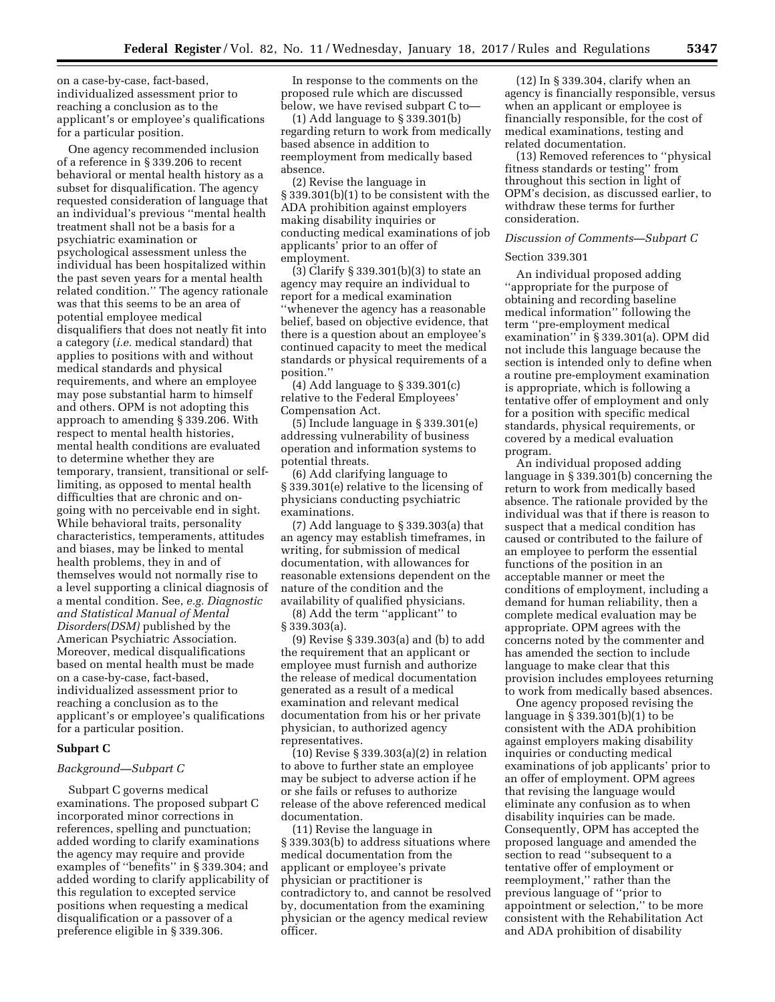on a case-by-case, fact-based, individualized assessment prior to reaching a conclusion as to the applicant's or employee's qualifications for a particular position.

One agency recommended inclusion of a reference in § 339.206 to recent behavioral or mental health history as a subset for disqualification. The agency requested consideration of language that an individual's previous ''mental health treatment shall not be a basis for a psychiatric examination or psychological assessment unless the individual has been hospitalized within the past seven years for a mental health related condition.'' The agency rationale was that this seems to be an area of potential employee medical disqualifiers that does not neatly fit into a category (*i.e.* medical standard) that applies to positions with and without medical standards and physical requirements, and where an employee may pose substantial harm to himself and others. OPM is not adopting this approach to amending § 339.206. With respect to mental health histories, mental health conditions are evaluated to determine whether they are temporary, transient, transitional or selflimiting, as opposed to mental health difficulties that are chronic and ongoing with no perceivable end in sight. While behavioral traits, personality characteristics, temperaments, attitudes and biases, may be linked to mental health problems, they in and of themselves would not normally rise to a level supporting a clinical diagnosis of a mental condition. See, *e.g. Diagnostic and Statistical Manual of Mental Disorders(DSM)* published by the American Psychiatric Association. Moreover, medical disqualifications based on mental health must be made on a case-by-case, fact-based, individualized assessment prior to reaching a conclusion as to the applicant's or employee's qualifications for a particular position.

# **Subpart C**

# *Background—Subpart C*

Subpart C governs medical examinations. The proposed subpart C incorporated minor corrections in references, spelling and punctuation; added wording to clarify examinations the agency may require and provide examples of ''benefits'' in § 339.304; and added wording to clarify applicability of this regulation to excepted service positions when requesting a medical disqualification or a passover of a preference eligible in § 339.306.

In response to the comments on the proposed rule which are discussed below, we have revised subpart C to—

(1) Add language to § 339.301(b) regarding return to work from medically based absence in addition to reemployment from medically based absence.

(2) Revise the language in § 339.301(b)(1) to be consistent with the ADA prohibition against employers making disability inquiries or conducting medical examinations of job applicants' prior to an offer of employment.

(3) Clarify § 339.301(b)(3) to state an agency may require an individual to report for a medical examination ''whenever the agency has a reasonable belief, based on objective evidence, that there is a question about an employee's continued capacity to meet the medical standards or physical requirements of a position.''

(4) Add language to § 339.301(c) relative to the Federal Employees' Compensation Act.

(5) Include language in § 339.301(e) addressing vulnerability of business operation and information systems to potential threats.

(6) Add clarifying language to § 339.301(e) relative to the licensing of physicians conducting psychiatric examinations.

(7) Add language to § 339.303(a) that an agency may establish timeframes, in writing, for submission of medical documentation, with allowances for reasonable extensions dependent on the nature of the condition and the availability of qualified physicians.

(8) Add the term ''applicant'' to § 339.303(a).

(9) Revise § 339.303(a) and (b) to add the requirement that an applicant or employee must furnish and authorize the release of medical documentation generated as a result of a medical examination and relevant medical documentation from his or her private physician, to authorized agency representatives.

(10) Revise § 339.303(a)(2) in relation to above to further state an employee may be subject to adverse action if he or she fails or refuses to authorize release of the above referenced medical documentation.

(11) Revise the language in § 339.303(b) to address situations where medical documentation from the applicant or employee's private physician or practitioner is contradictory to, and cannot be resolved by, documentation from the examining physician or the agency medical review officer.

(12) In § 339.304, clarify when an agency is financially responsible, versus when an applicant or employee is financially responsible, for the cost of medical examinations, testing and related documentation.

(13) Removed references to ''physical fitness standards or testing'' from throughout this section in light of OPM's decision, as discussed earlier, to withdraw these terms for further consideration.

# *Discussion of Comments—Subpart C*

# Section 339.301

An individual proposed adding ''appropriate for the purpose of obtaining and recording baseline medical information'' following the term ''pre-employment medical examination'' in § 339.301(a). OPM did not include this language because the section is intended only to define when a routine pre-employment examination is appropriate, which is following a tentative offer of employment and only for a position with specific medical standards, physical requirements, or covered by a medical evaluation program.

An individual proposed adding language in § 339.301(b) concerning the return to work from medically based absence. The rationale provided by the individual was that if there is reason to suspect that a medical condition has caused or contributed to the failure of an employee to perform the essential functions of the position in an acceptable manner or meet the conditions of employment, including a demand for human reliability, then a complete medical evaluation may be appropriate. OPM agrees with the concerns noted by the commenter and has amended the section to include language to make clear that this provision includes employees returning to work from medically based absences.

One agency proposed revising the language in § 339.301(b)(1) to be consistent with the ADA prohibition against employers making disability inquiries or conducting medical examinations of job applicants' prior to an offer of employment. OPM agrees that revising the language would eliminate any confusion as to when disability inquiries can be made. Consequently, OPM has accepted the proposed language and amended the section to read ''subsequent to a tentative offer of employment or reemployment,'' rather than the previous language of ''prior to appointment or selection,'' to be more consistent with the Rehabilitation Act and ADA prohibition of disability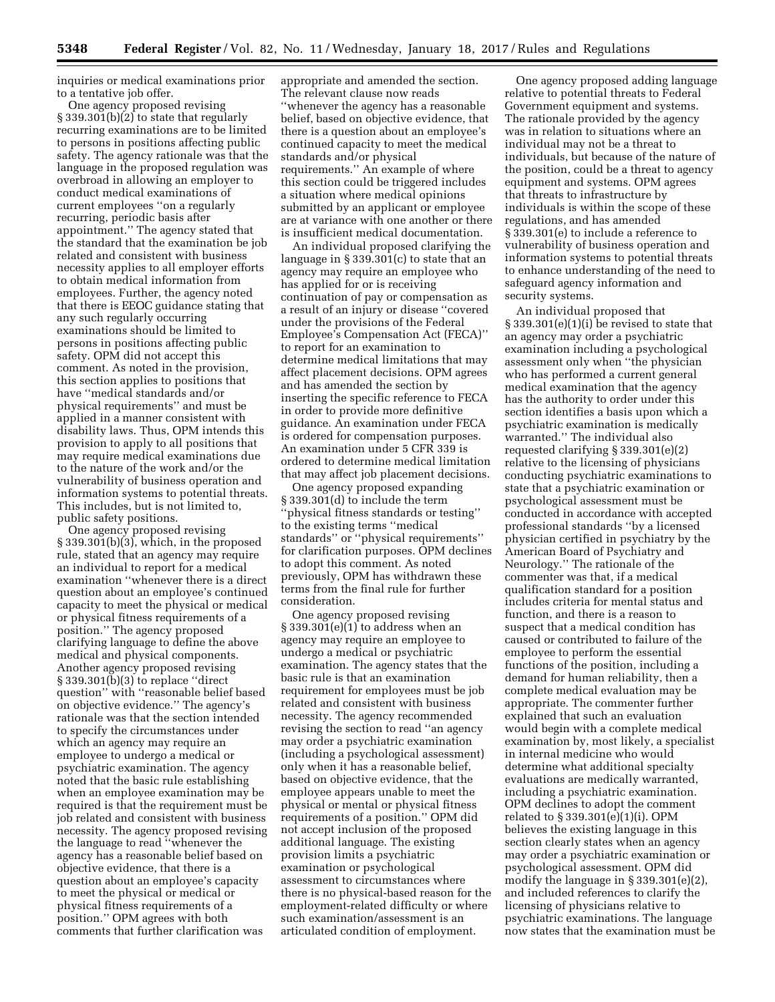inquiries or medical examinations prior to a tentative job offer.

One agency proposed revising § 339.301(b)(2) to state that regularly recurring examinations are to be limited to persons in positions affecting public safety. The agency rationale was that the language in the proposed regulation was overbroad in allowing an employer to conduct medical examinations of current employees ''on a regularly recurring, periodic basis after appointment.'' The agency stated that the standard that the examination be job related and consistent with business necessity applies to all employer efforts to obtain medical information from employees. Further, the agency noted that there is EEOC guidance stating that any such regularly occurring examinations should be limited to persons in positions affecting public safety. OPM did not accept this comment. As noted in the provision, this section applies to positions that have ''medical standards and/or physical requirements'' and must be applied in a manner consistent with disability laws. Thus, OPM intends this provision to apply to all positions that may require medical examinations due to the nature of the work and/or the vulnerability of business operation and information systems to potential threats. This includes, but is not limited to, public safety positions.

One agency proposed revising § 339.301(b)(3), which, in the proposed rule, stated that an agency may require an individual to report for a medical examination ''whenever there is a direct question about an employee's continued capacity to meet the physical or medical or physical fitness requirements of a position.'' The agency proposed clarifying language to define the above medical and physical components. Another agency proposed revising § 339.301(b)(3) to replace ''direct question'' with ''reasonable belief based on objective evidence.'' The agency's rationale was that the section intended to specify the circumstances under which an agency may require an employee to undergo a medical or psychiatric examination. The agency noted that the basic rule establishing when an employee examination may be required is that the requirement must be job related and consistent with business necessity. The agency proposed revising the language to read ''whenever the agency has a reasonable belief based on objective evidence, that there is a question about an employee's capacity to meet the physical or medical or physical fitness requirements of a position.'' OPM agrees with both comments that further clarification was

appropriate and amended the section. The relevant clause now reads ''whenever the agency has a reasonable belief, based on objective evidence, that there is a question about an employee's continued capacity to meet the medical standards and/or physical requirements.'' An example of where this section could be triggered includes a situation where medical opinions submitted by an applicant or employee are at variance with one another or there is insufficient medical documentation.

An individual proposed clarifying the language in § 339.301(c) to state that an agency may require an employee who has applied for or is receiving continuation of pay or compensation as a result of an injury or disease ''covered under the provisions of the Federal Employee's Compensation Act (FECA)'' to report for an examination to determine medical limitations that may affect placement decisions. OPM agrees and has amended the section by inserting the specific reference to FECA in order to provide more definitive guidance. An examination under FECA is ordered for compensation purposes. An examination under 5 CFR 339 is ordered to determine medical limitation that may affect job placement decisions.

One agency proposed expanding § 339.301(d) to include the term ''physical fitness standards or testing'' to the existing terms ''medical standards'' or ''physical requirements'' for clarification purposes. OPM declines to adopt this comment. As noted previously, OPM has withdrawn these terms from the final rule for further consideration.

One agency proposed revising § 339.301(e)(1) to address when an agency may require an employee to undergo a medical or psychiatric examination. The agency states that the basic rule is that an examination requirement for employees must be job related and consistent with business necessity. The agency recommended revising the section to read ''an agency may order a psychiatric examination (including a psychological assessment) only when it has a reasonable belief, based on objective evidence, that the employee appears unable to meet the physical or mental or physical fitness requirements of a position.'' OPM did not accept inclusion of the proposed additional language. The existing provision limits a psychiatric examination or psychological assessment to circumstances where there is no physical-based reason for the employment-related difficulty or where such examination/assessment is an articulated condition of employment.

One agency proposed adding language relative to potential threats to Federal Government equipment and systems. The rationale provided by the agency was in relation to situations where an individual may not be a threat to individuals, but because of the nature of the position, could be a threat to agency equipment and systems. OPM agrees that threats to infrastructure by individuals is within the scope of these regulations, and has amended § 339.301(e) to include a reference to vulnerability of business operation and information systems to potential threats to enhance understanding of the need to safeguard agency information and security systems.

An individual proposed that § 339.301(e)(1)(i) be revised to state that an agency may order a psychiatric examination including a psychological assessment only when ''the physician who has performed a current general medical examination that the agency has the authority to order under this section identifies a basis upon which a psychiatric examination is medically warranted.'' The individual also requested clarifying § 339.301(e)(2) relative to the licensing of physicians conducting psychiatric examinations to state that a psychiatric examination or psychological assessment must be conducted in accordance with accepted professional standards ''by a licensed physician certified in psychiatry by the American Board of Psychiatry and Neurology.'' The rationale of the commenter was that, if a medical qualification standard for a position includes criteria for mental status and function, and there is a reason to suspect that a medical condition has caused or contributed to failure of the employee to perform the essential functions of the position, including a demand for human reliability, then a complete medical evaluation may be appropriate. The commenter further explained that such an evaluation would begin with a complete medical examination by, most likely, a specialist in internal medicine who would determine what additional specialty evaluations are medically warranted, including a psychiatric examination. OPM declines to adopt the comment related to § 339.301(e)(1)(i). OPM believes the existing language in this section clearly states when an agency may order a psychiatric examination or psychological assessment. OPM did modify the language in § 339.301(e)(2), and included references to clarify the licensing of physicians relative to psychiatric examinations. The language now states that the examination must be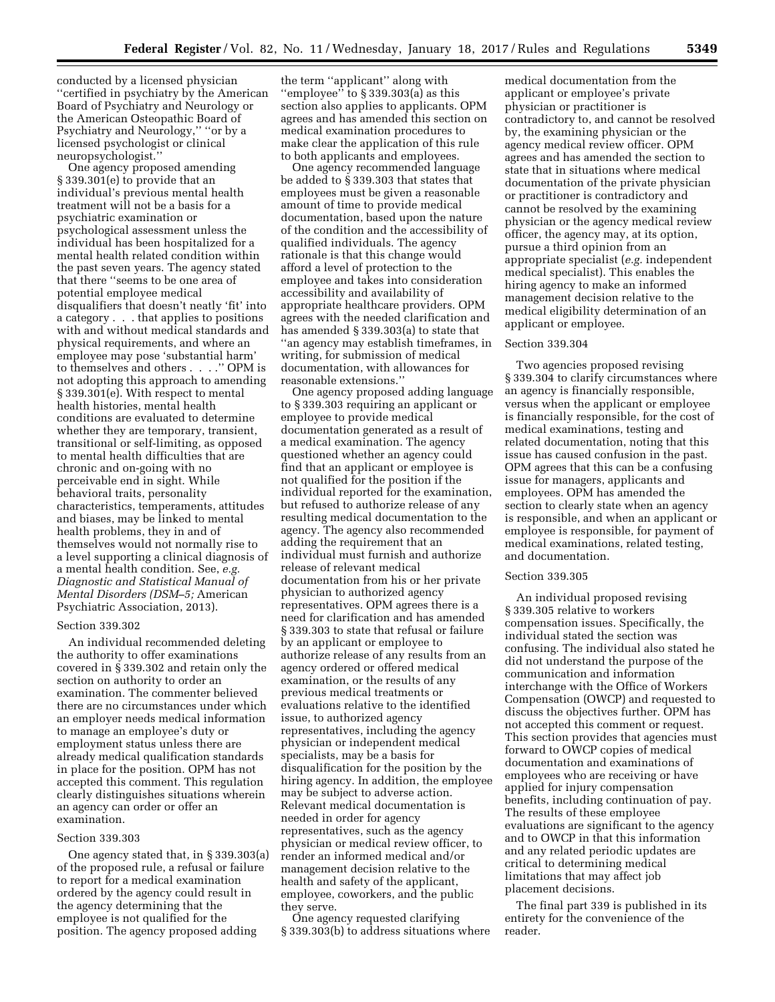conducted by a licensed physician ''certified in psychiatry by the American Board of Psychiatry and Neurology or the American Osteopathic Board of Psychiatry and Neurology,'' ''or by a licensed psychologist or clinical neuropsychologist.''

One agency proposed amending § 339.301(e) to provide that an individual's previous mental health treatment will not be a basis for a psychiatric examination or psychological assessment unless the individual has been hospitalized for a mental health related condition within the past seven years. The agency stated that there ''seems to be one area of potential employee medical disqualifiers that doesn't neatly 'fit' into a category . . . that applies to positions with and without medical standards and physical requirements, and where an employee may pose 'substantial harm' to themselves and others . . . .'' OPM is not adopting this approach to amending § 339.301(e). With respect to mental health histories, mental health conditions are evaluated to determine whether they are temporary, transient, transitional or self-limiting, as opposed to mental health difficulties that are chronic and on-going with no perceivable end in sight. While behavioral traits, personality characteristics, temperaments, attitudes and biases, may be linked to mental health problems, they in and of themselves would not normally rise to a level supporting a clinical diagnosis of a mental health condition. See, *e.g. Diagnostic and Statistical Manual of Mental Disorders (DSM–5;* American Psychiatric Association, 2013).

# Section 339.302

An individual recommended deleting the authority to offer examinations covered in § 339.302 and retain only the section on authority to order an examination. The commenter believed there are no circumstances under which an employer needs medical information to manage an employee's duty or employment status unless there are already medical qualification standards in place for the position. OPM has not accepted this comment. This regulation clearly distinguishes situations wherein an agency can order or offer an examination.

# Section 339.303

One agency stated that, in § 339.303(a) of the proposed rule, a refusal or failure to report for a medical examination ordered by the agency could result in the agency determining that the employee is not qualified for the position. The agency proposed adding

the term ''applicant'' along with ''employee'' to § 339.303(a) as this section also applies to applicants. OPM agrees and has amended this section on medical examination procedures to make clear the application of this rule to both applicants and employees.

One agency recommended language be added to § 339.303 that states that employees must be given a reasonable amount of time to provide medical documentation, based upon the nature of the condition and the accessibility of qualified individuals. The agency rationale is that this change would afford a level of protection to the employee and takes into consideration accessibility and availability of appropriate healthcare providers. OPM agrees with the needed clarification and has amended § 339.303(a) to state that ''an agency may establish timeframes, in writing, for submission of medical documentation, with allowances for reasonable extensions.''

One agency proposed adding language to § 339.303 requiring an applicant or employee to provide medical documentation generated as a result of a medical examination. The agency questioned whether an agency could find that an applicant or employee is not qualified for the position if the individual reported for the examination, but refused to authorize release of any resulting medical documentation to the agency. The agency also recommended adding the requirement that an individual must furnish and authorize release of relevant medical documentation from his or her private physician to authorized agency representatives. OPM agrees there is a need for clarification and has amended § 339.303 to state that refusal or failure by an applicant or employee to authorize release of any results from an agency ordered or offered medical examination, or the results of any previous medical treatments or evaluations relative to the identified issue, to authorized agency representatives, including the agency physician or independent medical specialists, may be a basis for disqualification for the position by the hiring agency. In addition, the employee may be subject to adverse action. Relevant medical documentation is needed in order for agency representatives, such as the agency physician or medical review officer, to render an informed medical and/or management decision relative to the health and safety of the applicant, employee, coworkers, and the public they serve.

One agency requested clarifying § 339.303(b) to address situations where medical documentation from the applicant or employee's private physician or practitioner is contradictory to, and cannot be resolved by, the examining physician or the agency medical review officer. OPM agrees and has amended the section to state that in situations where medical documentation of the private physician or practitioner is contradictory and cannot be resolved by the examining physician or the agency medical review officer, the agency may, at its option, pursue a third opinion from an appropriate specialist (*e.g.* independent medical specialist). This enables the hiring agency to make an informed management decision relative to the medical eligibility determination of an applicant or employee.

## Section 339.304

Two agencies proposed revising § 339.304 to clarify circumstances where an agency is financially responsible, versus when the applicant or employee is financially responsible, for the cost of medical examinations, testing and related documentation, noting that this issue has caused confusion in the past. OPM agrees that this can be a confusing issue for managers, applicants and employees. OPM has amended the section to clearly state when an agency is responsible, and when an applicant or employee is responsible, for payment of medical examinations, related testing, and documentation.

# Section 339.305

An individual proposed revising § 339.305 relative to workers compensation issues. Specifically, the individual stated the section was confusing. The individual also stated he did not understand the purpose of the communication and information interchange with the Office of Workers Compensation (OWCP) and requested to discuss the objectives further. OPM has not accepted this comment or request. This section provides that agencies must forward to OWCP copies of medical documentation and examinations of employees who are receiving or have applied for injury compensation benefits, including continuation of pay. The results of these employee evaluations are significant to the agency and to OWCP in that this information and any related periodic updates are critical to determining medical limitations that may affect job placement decisions.

The final part 339 is published in its entirety for the convenience of the reader.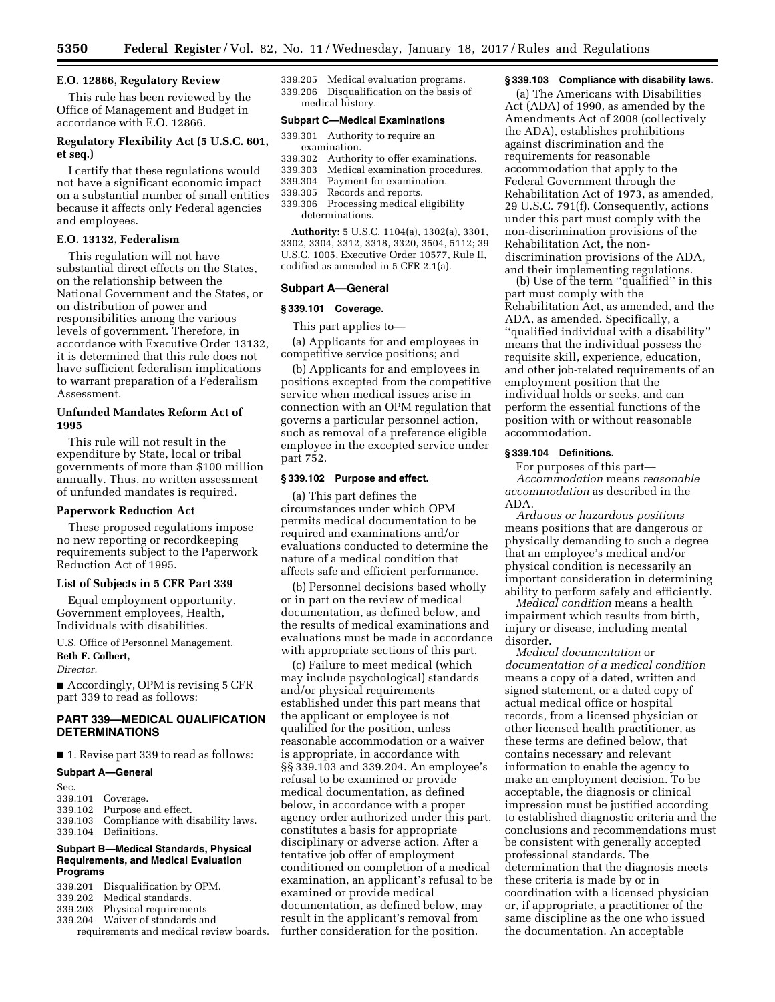# **E.O. 12866, Regulatory Review**

This rule has been reviewed by the Office of Management and Budget in accordance with E.O. 12866.

# **Regulatory Flexibility Act (5 U.S.C. 601, et seq.)**

I certify that these regulations would not have a significant economic impact on a substantial number of small entities because it affects only Federal agencies and employees.

#### **E.O. 13132, Federalism**

This regulation will not have substantial direct effects on the States, on the relationship between the National Government and the States, or on distribution of power and responsibilities among the various levels of government. Therefore, in accordance with Executive Order 13132, it is determined that this rule does not have sufficient federalism implications to warrant preparation of a Federalism Assessment.

# **Unfunded Mandates Reform Act of 1995**

This rule will not result in the expenditure by State, local or tribal governments of more than \$100 million annually. Thus, no written assessment of unfunded mandates is required.

#### **Paperwork Reduction Act**

These proposed regulations impose no new reporting or recordkeeping requirements subject to the Paperwork Reduction Act of 1995.

## **List of Subjects in 5 CFR Part 339**

Equal employment opportunity, Government employees, Health, Individuals with disabilities.

U.S. Office of Personnel Management.

# **Beth F. Colbert,**

*Director.* 

■ Accordingly, OPM is revising 5 CFR part 339 to read as follows:

# **PART 339—MEDICAL QUALIFICATION DETERMINATIONS**

■ 1. Revise part 339 to read as follows:

## **Subpart A—General**

- Sec.<br>339.101 Coverage.
- 339.102 Purpose and effect.
- 339.103 Compliance with disability laws. Definitions.

# **Subpart B—Medical Standards, Physical Requirements, and Medical Evaluation Programs**

339.201 Disqualification by OPM. 339.202 Medical standards.<br>339.203 Physical requireme Physical requirements 339.204 Waiver of standards and

requirements and medical review boards.

339.205 Medical evaluation programs. 339.206 Disqualification on the basis of medical history.

# **Subpart C—Medical Examinations**

- 339.301 Authority to require an examination.
- 339.302 Authority to offer examinations.
- 339.303 Medical examination procedures.
- 339.304 Payment for examination.
- Records and reports.
- 339.306 Processing medical eligibility determinations.

**Authority:** 5 U.S.C. 1104(a), 1302(a), 3301, 3302, 3304, 3312, 3318, 3320, 3504, 5112; 39 U.S.C. 1005, Executive Order 10577, Rule II, codified as amended in 5 CFR 2.1(a).

## **Subpart A—General**

#### **§ 339.101 Coverage.**

This part applies to—

(a) Applicants for and employees in competitive service positions; and

(b) Applicants for and employees in positions excepted from the competitive service when medical issues arise in connection with an OPM regulation that governs a particular personnel action, such as removal of a preference eligible employee in the excepted service under part 752.

# **§ 339.102 Purpose and effect.**

(a) This part defines the circumstances under which OPM permits medical documentation to be required and examinations and/or evaluations conducted to determine the nature of a medical condition that affects safe and efficient performance.

(b) Personnel decisions based wholly or in part on the review of medical documentation, as defined below, and the results of medical examinations and evaluations must be made in accordance with appropriate sections of this part.

(c) Failure to meet medical (which may include psychological) standards and/or physical requirements established under this part means that the applicant or employee is not qualified for the position, unless reasonable accommodation or a waiver is appropriate, in accordance with §§ 339.103 and 339.204. An employee's refusal to be examined or provide medical documentation, as defined below, in accordance with a proper agency order authorized under this part, constitutes a basis for appropriate disciplinary or adverse action. After a tentative job offer of employment conditioned on completion of a medical examination, an applicant's refusal to be examined or provide medical documentation, as defined below, may result in the applicant's removal from further consideration for the position.

#### **§ 339.103 Compliance with disability laws.**

(a) The Americans with Disabilities Act (ADA) of 1990, as amended by the Amendments Act of 2008 (collectively the ADA), establishes prohibitions against discrimination and the requirements for reasonable accommodation that apply to the Federal Government through the Rehabilitation Act of 1973, as amended, 29 U.S.C. 791(f). Consequently, actions under this part must comply with the non-discrimination provisions of the Rehabilitation Act, the nondiscrimination provisions of the ADA, and their implementing regulations.

(b) Use of the term ''qualified'' in this part must comply with the Rehabilitation Act, as amended, and the ADA, as amended. Specifically, a ''qualified individual with a disability'' means that the individual possess the requisite skill, experience, education, and other job-related requirements of an employment position that the individual holds or seeks, and can perform the essential functions of the position with or without reasonable accommodation.

#### **§ 339.104 Definitions.**

For purposes of this part— *Accommodation* means *reasonable accommodation* as described in the ADA.

*Arduous or hazardous positions*  means positions that are dangerous or physically demanding to such a degree that an employee's medical and/or physical condition is necessarily an important consideration in determining ability to perform safely and efficiently.

*Medical condition* means a health impairment which results from birth, injury or disease, including mental disorder.

*Medical documentation* or *documentation of a medical condition*  means a copy of a dated, written and signed statement, or a dated copy of actual medical office or hospital records, from a licensed physician or other licensed health practitioner, as these terms are defined below, that contains necessary and relevant information to enable the agency to make an employment decision. To be acceptable, the diagnosis or clinical impression must be justified according to established diagnostic criteria and the conclusions and recommendations must be consistent with generally accepted professional standards. The determination that the diagnosis meets these criteria is made by or in coordination with a licensed physician or, if appropriate, a practitioner of the same discipline as the one who issued the documentation. An acceptable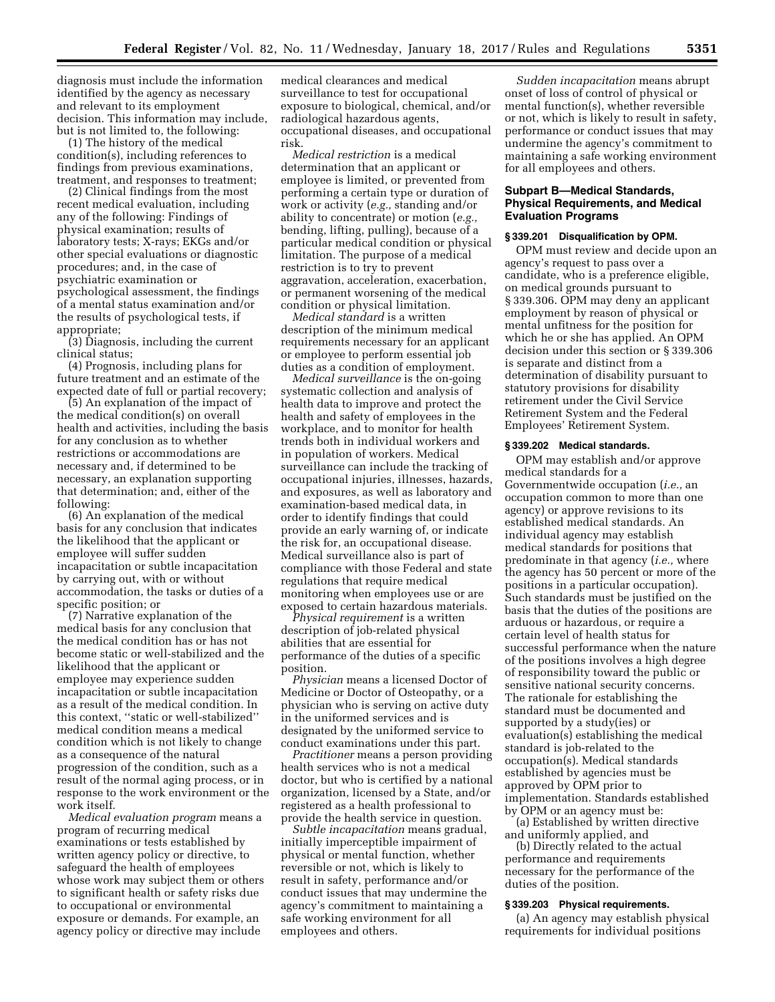diagnosis must include the information identified by the agency as necessary and relevant to its employment decision. This information may include, but is not limited to, the following:

(1) The history of the medical condition(s), including references to findings from previous examinations, treatment, and responses to treatment;

(2) Clinical findings from the most recent medical evaluation, including any of the following: Findings of physical examination; results of laboratory tests; X-rays; EKGs and/or other special evaluations or diagnostic procedures; and, in the case of psychiatric examination or psychological assessment, the findings of a mental status examination and/or the results of psychological tests, if appropriate;

(3) Diagnosis, including the current clinical status;

(4) Prognosis, including plans for future treatment and an estimate of the expected date of full or partial recovery;

(5) An explanation of the impact of the medical condition(s) on overall health and activities, including the basis for any conclusion as to whether restrictions or accommodations are necessary and, if determined to be necessary, an explanation supporting that determination; and, either of the following:

(6) An explanation of the medical basis for any conclusion that indicates the likelihood that the applicant or employee will suffer sudden incapacitation or subtle incapacitation by carrying out, with or without accommodation, the tasks or duties of a specific position; or

(7) Narrative explanation of the medical basis for any conclusion that the medical condition has or has not become static or well-stabilized and the likelihood that the applicant or employee may experience sudden incapacitation or subtle incapacitation as a result of the medical condition. In this context, ''static or well-stabilized'' medical condition means a medical condition which is not likely to change as a consequence of the natural progression of the condition, such as a result of the normal aging process, or in response to the work environment or the work itself.

*Medical evaluation program* means a program of recurring medical examinations or tests established by written agency policy or directive, to safeguard the health of employees whose work may subject them or others to significant health or safety risks due to occupational or environmental exposure or demands. For example, an agency policy or directive may include

medical clearances and medical surveillance to test for occupational exposure to biological, chemical, and/or radiological hazardous agents, occupational diseases, and occupational risk.

*Medical restriction* is a medical determination that an applicant or employee is limited, or prevented from performing a certain type or duration of work or activity (*e.g.,* standing and/or ability to concentrate) or motion (*e.g.,*  bending, lifting, pulling), because of a particular medical condition or physical limitation. The purpose of a medical restriction is to try to prevent aggravation, acceleration, exacerbation, or permanent worsening of the medical condition or physical limitation.

*Medical standard* is a written description of the minimum medical requirements necessary for an applicant or employee to perform essential job duties as a condition of employment.

*Medical surveillance* is the on-going systematic collection and analysis of health data to improve and protect the health and safety of employees in the workplace, and to monitor for health trends both in individual workers and in population of workers. Medical surveillance can include the tracking of occupational injuries, illnesses, hazards, and exposures, as well as laboratory and examination-based medical data, in order to identify findings that could provide an early warning of, or indicate the risk for, an occupational disease. Medical surveillance also is part of compliance with those Federal and state regulations that require medical monitoring when employees use or are exposed to certain hazardous materials.

*Physical requirement* is a written description of job-related physical abilities that are essential for performance of the duties of a specific position.

*Physician* means a licensed Doctor of Medicine or Doctor of Osteopathy, or a physician who is serving on active duty in the uniformed services and is designated by the uniformed service to conduct examinations under this part.

*Practitioner* means a person providing health services who is not a medical doctor, but who is certified by a national organization, licensed by a State, and/or registered as a health professional to provide the health service in question.

*Subtle incapacitation* means gradual, initially imperceptible impairment of physical or mental function, whether reversible or not, which is likely to result in safety, performance and/or conduct issues that may undermine the agency's commitment to maintaining a safe working environment for all employees and others.

*Sudden incapacitation* means abrupt onset of loss of control of physical or mental function(s), whether reversible or not, which is likely to result in safety, performance or conduct issues that may undermine the agency's commitment to maintaining a safe working environment for all employees and others.

# **Subpart B—Medical Standards, Physical Requirements, and Medical Evaluation Programs**

## **§ 339.201 Disqualification by OPM.**

OPM must review and decide upon an agency's request to pass over a candidate, who is a preference eligible, on medical grounds pursuant to § 339.306. OPM may deny an applicant employment by reason of physical or mental unfitness for the position for which he or she has applied. An OPM decision under this section or § 339.306 is separate and distinct from a determination of disability pursuant to statutory provisions for disability retirement under the Civil Service Retirement System and the Federal Employees' Retirement System.

#### **§ 339.202 Medical standards.**

OPM may establish and/or approve medical standards for a Governmentwide occupation (*i.e.,* an occupation common to more than one agency) or approve revisions to its established medical standards. An individual agency may establish medical standards for positions that predominate in that agency (*i.e.,* where the agency has 50 percent or more of the positions in a particular occupation). Such standards must be justified on the basis that the duties of the positions are arduous or hazardous, or require a certain level of health status for successful performance when the nature of the positions involves a high degree of responsibility toward the public or sensitive national security concerns. The rationale for establishing the standard must be documented and supported by a study(ies) or evaluation(s) establishing the medical standard is job-related to the occupation(s). Medical standards established by agencies must be approved by OPM prior to implementation. Standards established by OPM or an agency must be:

(a) Established by written directive and uniformly applied, and

(b) Directly related to the actual performance and requirements necessary for the performance of the duties of the position.

## **§ 339.203 Physical requirements.**

(a) An agency may establish physical requirements for individual positions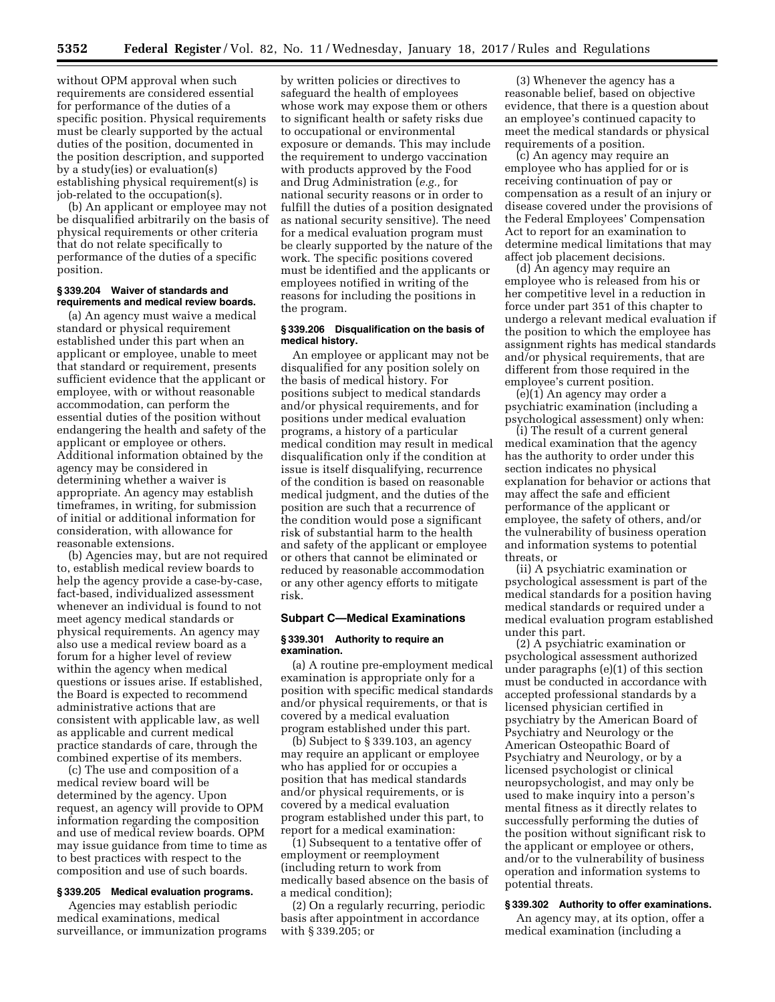without OPM approval when such requirements are considered essential for performance of the duties of a specific position. Physical requirements must be clearly supported by the actual duties of the position, documented in the position description, and supported by a study(ies) or evaluation(s) establishing physical requirement(s) is job-related to the occupation(s).

(b) An applicant or employee may not be disqualified arbitrarily on the basis of physical requirements or other criteria that do not relate specifically to performance of the duties of a specific position.

## **§ 339.204 Waiver of standards and requirements and medical review boards.**

(a) An agency must waive a medical standard or physical requirement established under this part when an applicant or employee, unable to meet that standard or requirement, presents sufficient evidence that the applicant or employee, with or without reasonable accommodation, can perform the essential duties of the position without endangering the health and safety of the applicant or employee or others. Additional information obtained by the agency may be considered in determining whether a waiver is appropriate. An agency may establish timeframes, in writing, for submission of initial or additional information for consideration, with allowance for reasonable extensions.

(b) Agencies may, but are not required to, establish medical review boards to help the agency provide a case-by-case, fact-based, individualized assessment whenever an individual is found to not meet agency medical standards or physical requirements. An agency may also use a medical review board as a forum for a higher level of review within the agency when medical questions or issues arise. If established, the Board is expected to recommend administrative actions that are consistent with applicable law, as well as applicable and current medical practice standards of care, through the combined expertise of its members.

(c) The use and composition of a medical review board will be determined by the agency. Upon request, an agency will provide to OPM information regarding the composition and use of medical review boards. OPM may issue guidance from time to time as to best practices with respect to the composition and use of such boards.

# **§ 339.205 Medical evaluation programs.**

Agencies may establish periodic medical examinations, medical surveillance, or immunization programs

by written policies or directives to safeguard the health of employees whose work may expose them or others to significant health or safety risks due to occupational or environmental exposure or demands. This may include the requirement to undergo vaccination with products approved by the Food and Drug Administration (*e.g.,* for national security reasons or in order to fulfill the duties of a position designated as national security sensitive). The need for a medical evaluation program must be clearly supported by the nature of the work. The specific positions covered must be identified and the applicants or employees notified in writing of the reasons for including the positions in the program.

## **§ 339.206 Disqualification on the basis of medical history.**

An employee or applicant may not be disqualified for any position solely on the basis of medical history. For positions subject to medical standards and/or physical requirements, and for positions under medical evaluation programs, a history of a particular medical condition may result in medical disqualification only if the condition at issue is itself disqualifying, recurrence of the condition is based on reasonable medical judgment, and the duties of the position are such that a recurrence of the condition would pose a significant risk of substantial harm to the health and safety of the applicant or employee or others that cannot be eliminated or reduced by reasonable accommodation or any other agency efforts to mitigate risk.

# **Subpart C—Medical Examinations**

# **§ 339.301 Authority to require an examination.**

(a) A routine pre-employment medical examination is appropriate only for a position with specific medical standards and/or physical requirements, or that is covered by a medical evaluation program established under this part.

(b) Subject to § 339.103, an agency may require an applicant or employee who has applied for or occupies a position that has medical standards and/or physical requirements, or is covered by a medical evaluation program established under this part, to report for a medical examination:

(1) Subsequent to a tentative offer of employment or reemployment (including return to work from medically based absence on the basis of a medical condition);

(2) On a regularly recurring, periodic basis after appointment in accordance with § 339.205; or

(3) Whenever the agency has a reasonable belief, based on objective evidence, that there is a question about an employee's continued capacity to meet the medical standards or physical requirements of a position.

(c) An agency may require an employee who has applied for or is receiving continuation of pay or compensation as a result of an injury or disease covered under the provisions of the Federal Employees' Compensation Act to report for an examination to determine medical limitations that may affect job placement decisions.

(d) An agency may require an employee who is released from his or her competitive level in a reduction in force under part 351 of this chapter to undergo a relevant medical evaluation if the position to which the employee has assignment rights has medical standards and/or physical requirements, that are different from those required in the employee's current position.

(e)(1) An agency may order a psychiatric examination (including a psychological assessment) only when:

(i) The result of a current general medical examination that the agency has the authority to order under this section indicates no physical explanation for behavior or actions that may affect the safe and efficient performance of the applicant or employee, the safety of others, and/or the vulnerability of business operation and information systems to potential threats, or

(ii) A psychiatric examination or psychological assessment is part of the medical standards for a position having medical standards or required under a medical evaluation program established under this part.

(2) A psychiatric examination or psychological assessment authorized under paragraphs (e)(1) of this section must be conducted in accordance with accepted professional standards by a licensed physician certified in psychiatry by the American Board of Psychiatry and Neurology or the American Osteopathic Board of Psychiatry and Neurology, or by a licensed psychologist or clinical neuropsychologist, and may only be used to make inquiry into a person's mental fitness as it directly relates to successfully performing the duties of the position without significant risk to the applicant or employee or others, and/or to the vulnerability of business operation and information systems to potential threats.

## **§ 339.302 Authority to offer examinations.**

An agency may, at its option, offer a medical examination (including a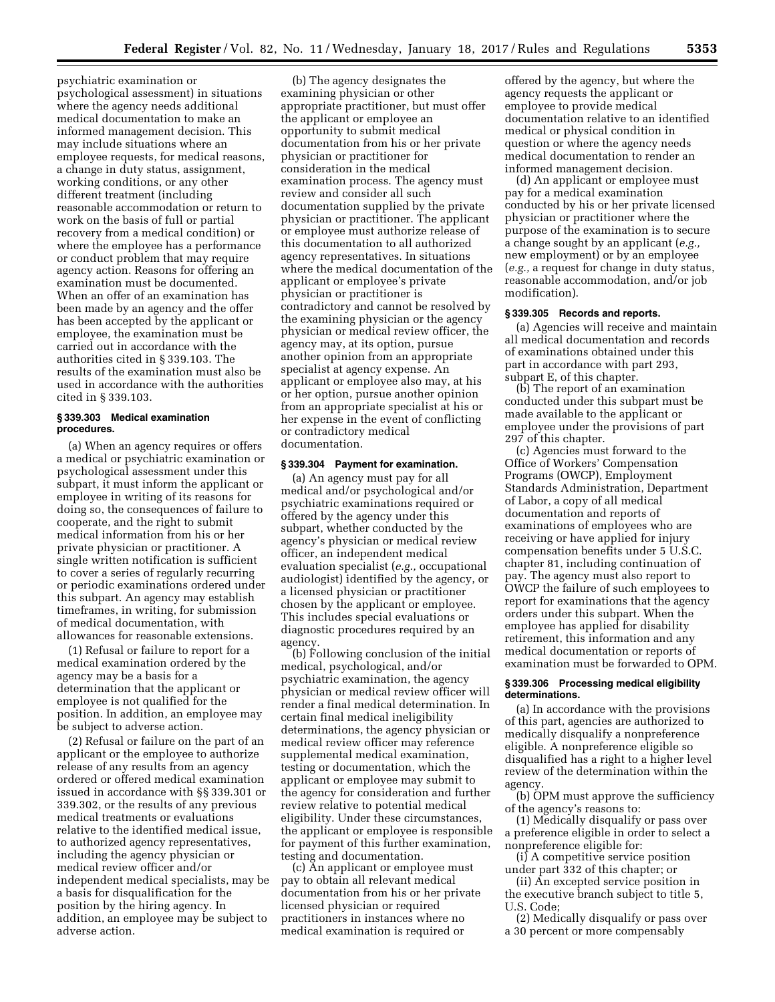psychiatric examination or psychological assessment) in situations where the agency needs additional medical documentation to make an informed management decision. This may include situations where an employee requests, for medical reasons, a change in duty status, assignment, working conditions, or any other different treatment (including reasonable accommodation or return to work on the basis of full or partial recovery from a medical condition) or where the employee has a performance or conduct problem that may require agency action. Reasons for offering an examination must be documented. When an offer of an examination has been made by an agency and the offer has been accepted by the applicant or employee, the examination must be carried out in accordance with the authorities cited in § 339.103. The results of the examination must also be used in accordance with the authorities cited in § 339.103.

# **§ 339.303 Medical examination procedures.**

(a) When an agency requires or offers a medical or psychiatric examination or psychological assessment under this subpart, it must inform the applicant or employee in writing of its reasons for doing so, the consequences of failure to cooperate, and the right to submit medical information from his or her private physician or practitioner. A single written notification is sufficient to cover a series of regularly recurring or periodic examinations ordered under this subpart. An agency may establish timeframes, in writing, for submission of medical documentation, with allowances for reasonable extensions.

(1) Refusal or failure to report for a medical examination ordered by the agency may be a basis for a determination that the applicant or employee is not qualified for the position. In addition, an employee may be subject to adverse action.

(2) Refusal or failure on the part of an applicant or the employee to authorize release of any results from an agency ordered or offered medical examination issued in accordance with §§ 339.301 or 339.302, or the results of any previous medical treatments or evaluations relative to the identified medical issue, to authorized agency representatives, including the agency physician or medical review officer and/or independent medical specialists, may be a basis for disqualification for the position by the hiring agency. In addition, an employee may be subject to adverse action.

(b) The agency designates the examining physician or other appropriate practitioner, but must offer the applicant or employee an opportunity to submit medical documentation from his or her private physician or practitioner for consideration in the medical examination process. The agency must review and consider all such documentation supplied by the private physician or practitioner. The applicant or employee must authorize release of this documentation to all authorized agency representatives. In situations where the medical documentation of the applicant or employee's private physician or practitioner is contradictory and cannot be resolved by the examining physician or the agency physician or medical review officer, the agency may, at its option, pursue another opinion from an appropriate specialist at agency expense. An applicant or employee also may, at his or her option, pursue another opinion from an appropriate specialist at his or her expense in the event of conflicting or contradictory medical documentation.

# **§ 339.304 Payment for examination.**

(a) An agency must pay for all medical and/or psychological and/or psychiatric examinations required or offered by the agency under this subpart, whether conducted by the agency's physician or medical review officer, an independent medical evaluation specialist (*e.g.,* occupational audiologist) identified by the agency, or a licensed physician or practitioner chosen by the applicant or employee. This includes special evaluations or diagnostic procedures required by an agency.

(b) Following conclusion of the initial medical, psychological, and/or psychiatric examination, the agency physician or medical review officer will render a final medical determination. In certain final medical ineligibility determinations, the agency physician or medical review officer may reference supplemental medical examination, testing or documentation, which the applicant or employee may submit to the agency for consideration and further review relative to potential medical eligibility. Under these circumstances, the applicant or employee is responsible for payment of this further examination, testing and documentation.

(c) An applicant or employee must pay to obtain all relevant medical documentation from his or her private licensed physician or required practitioners in instances where no medical examination is required or

offered by the agency, but where the agency requests the applicant or employee to provide medical documentation relative to an identified medical or physical condition in question or where the agency needs medical documentation to render an informed management decision.

(d) An applicant or employee must pay for a medical examination conducted by his or her private licensed physician or practitioner where the purpose of the examination is to secure a change sought by an applicant (*e.g.,*  new employment) or by an employee (*e.g.,* a request for change in duty status, reasonable accommodation, and/or job modification).

## **§ 339.305 Records and reports.**

(a) Agencies will receive and maintain all medical documentation and records of examinations obtained under this part in accordance with part 293, subpart E, of this chapter.

(b) The report of an examination conducted under this subpart must be made available to the applicant or employee under the provisions of part 297 of this chapter.

(c) Agencies must forward to the Office of Workers' Compensation Programs (OWCP), Employment Standards Administration, Department of Labor, a copy of all medical documentation and reports of examinations of employees who are receiving or have applied for injury compensation benefits under 5 U.S.C. chapter 81, including continuation of pay. The agency must also report to OWCP the failure of such employees to report for examinations that the agency orders under this subpart. When the employee has applied for disability retirement, this information and any medical documentation or reports of examination must be forwarded to OPM.

#### **§ 339.306 Processing medical eligibility determinations.**

(a) In accordance with the provisions of this part, agencies are authorized to medically disqualify a nonpreference eligible. A nonpreference eligible so disqualified has a right to a higher level review of the determination within the agency.

(b) OPM must approve the sufficiency of the agency's reasons to:

(1) Medically disqualify or pass over a preference eligible in order to select a nonpreference eligible for:

(i) A competitive service position under part 332 of this chapter; or (ii) An excepted service position in

the executive branch subject to title 5, U.S. Code;

(2) Medically disqualify or pass over a 30 percent or more compensably